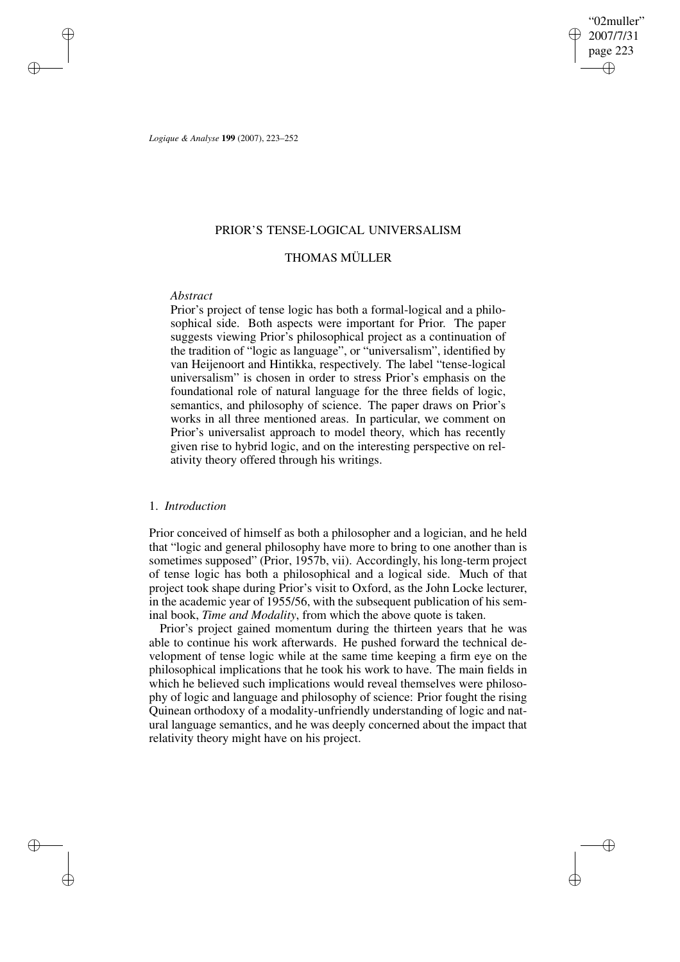"02muller" 2007/7/31 page 223 ✐ ✐

✐

✐

*Logique & Analyse* **199** (2007), 223–252

# PRIOR'S TENSE-LOGICAL UNIVERSALISM

# THOMAS MÜLLER

## *Abstract*

✐

✐

✐

✐

Prior's project of tense logic has both a formal-logical and a philosophical side. Both aspects were important for Prior. The paper suggests viewing Prior's philosophical project as a continuation of the tradition of "logic as language", or "universalism", identified by van Heijenoort and Hintikka, respectively. The label "tense-logical universalism" is chosen in order to stress Prior's emphasis on the foundational role of natural language for the three fields of logic, semantics, and philosophy of science. The paper draws on Prior's works in all three mentioned areas. In particular, we comment on Prior's universalist approach to model theory, which has recently given rise to hybrid logic, and on the interesting perspective on relativity theory offered through his writings.

## 1. *Introduction*

Prior conceived of himself as both a philosopher and a logician, and he held that "logic and general philosophy have more to bring to one another than is sometimes supposed" (Prior, 1957b, vii). Accordingly, his long-term project of tense logic has both a philosophical and a logical side. Much of that project took shape during Prior's visit to Oxford, as the John Locke lecturer, in the academic year of 1955/56, with the subsequent publication of his seminal book, *Time and Modality*, from which the above quote is taken.

Prior's project gained momentum during the thirteen years that he was able to continue his work afterwards. He pushed forward the technical development of tense logic while at the same time keeping a firm eye on the philosophical implications that he took his work to have. The main fields in which he believed such implications would reveal themselves were philosophy of logic and language and philosophy of science: Prior fought the rising Quinean orthodoxy of a modality-unfriendly understanding of logic and natural language semantics, and he was deeply concerned about the impact that relativity theory might have on his project.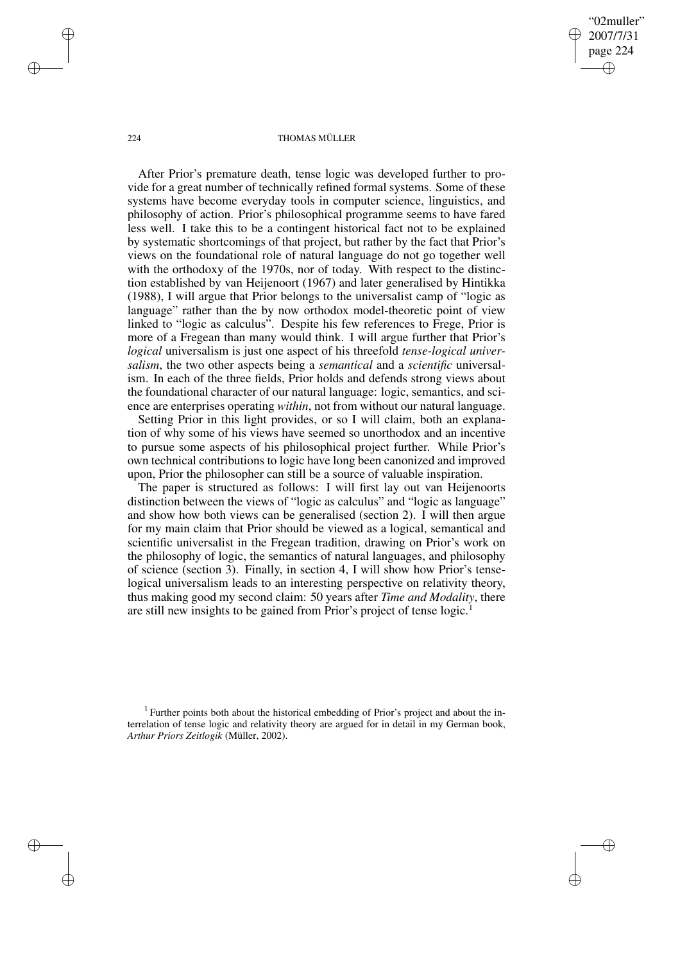"02muller" 2007/7/31 page 224 ✐ ✐

✐

✐

#### 224 THOMAS MÜLLER

After Prior's premature death, tense logic was developed further to provide for a great number of technically refined formal systems. Some of these systems have become everyday tools in computer science, linguistics, and philosophy of action. Prior's philosophical programme seems to have fared less well. I take this to be a contingent historical fact not to be explained by systematic shortcomings of that project, but rather by the fact that Prior's views on the foundational role of natural language do not go together well with the orthodoxy of the 1970s, nor of today. With respect to the distinction established by van Heijenoort (1967) and later generalised by Hintikka (1988), I will argue that Prior belongs to the universalist camp of "logic as language" rather than the by now orthodox model-theoretic point of view linked to "logic as calculus". Despite his few references to Frege, Prior is more of a Fregean than many would think. I will argue further that Prior's *logical* universalism is just one aspect of his threefold *tense-logical universalism*, the two other aspects being a *semantical* and a *scientific* universalism. In each of the three fields, Prior holds and defends strong views about the foundational character of our natural language: logic, semantics, and science are enterprises operating *within*, not from without our natural language.

Setting Prior in this light provides, or so I will claim, both an explanation of why some of his views have seemed so unorthodox and an incentive to pursue some aspects of his philosophical project further. While Prior's own technical contributions to logic have long been canonized and improved upon, Prior the philosopher can still be a source of valuable inspiration.

The paper is structured as follows: I will first lay out van Heijenoorts distinction between the views of "logic as calculus" and "logic as language" and show how both views can be generalised (section 2). I will then argue for my main claim that Prior should be viewed as a logical, semantical and scientific universalist in the Fregean tradition, drawing on Prior's work on the philosophy of logic, the semantics of natural languages, and philosophy of science (section 3). Finally, in section 4, I will show how Prior's tenselogical universalism leads to an interesting perspective on relativity theory, thus making good my second claim: 50 years after *Time and Modality*, there are still new insights to be gained from Prior's project of tense logic.<sup>1</sup>

<sup>1</sup> Further points both about the historical embedding of Prior's project and about the interrelation of tense logic and relativity theory are argued for in detail in my German book, *Arthur Priors Zeitlogik* (Müller, 2002).

✐

✐

✐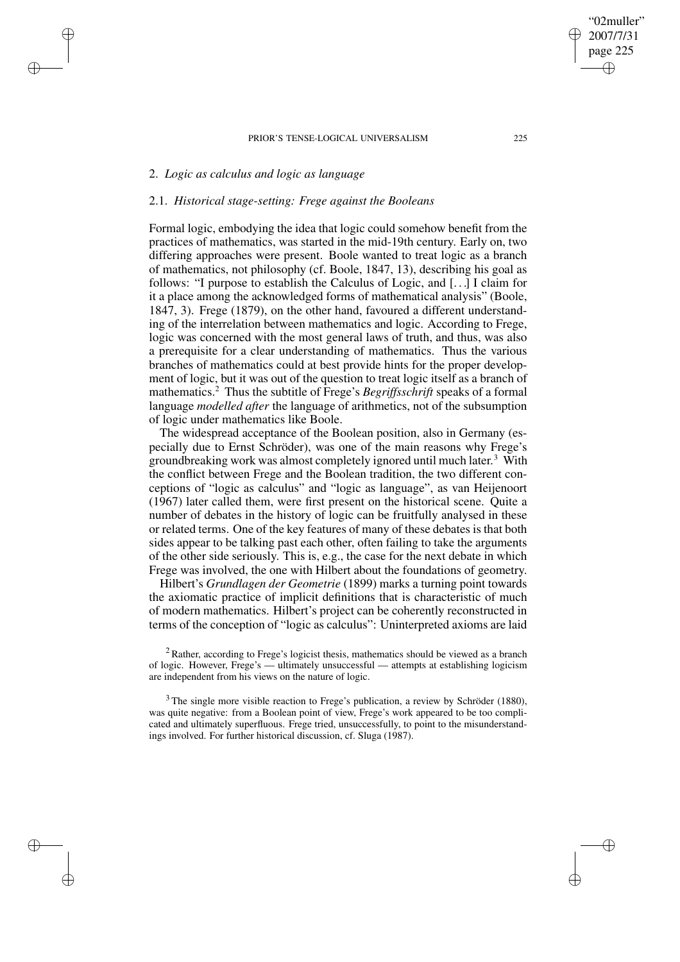## 2. *Logic as calculus and logic as language*

✐

✐

✐

✐

## 2.1. *Historical stage-setting: Frege against the Booleans*

Formal logic, embodying the idea that logic could somehow benefit from the practices of mathematics, was started in the mid-19th century. Early on, two differing approaches were present. Boole wanted to treat logic as a branch of mathematics, not philosophy (cf. Boole, 1847, 13), describing his goal as follows: "I purpose to establish the Calculus of Logic, and [. . .] I claim for it a place among the acknowledged forms of mathematical analysis" (Boole, 1847, 3). Frege (1879), on the other hand, favoured a different understanding of the interrelation between mathematics and logic. According to Frege, logic was concerned with the most general laws of truth, and thus, was also a prerequisite for a clear understanding of mathematics. Thus the various branches of mathematics could at best provide hints for the proper development of logic, but it was out of the question to treat logic itself as a branch of mathematics.<sup>2</sup> Thus the subtitle of Frege's *Begriffsschrift* speaks of a formal language *modelled after* the language of arithmetics, not of the subsumption of logic under mathematics like Boole.

The widespread acceptance of the Boolean position, also in Germany (especially due to Ernst Schröder), was one of the main reasons why Frege's groundbreaking work was almost completely ignored until much later.<sup>3</sup> With the conflict between Frege and the Boolean tradition, the two different conceptions of "logic as calculus" and "logic as language", as van Heijenoort (1967) later called them, were first present on the historical scene. Quite a number of debates in the history of logic can be fruitfully analysed in these or related terms. One of the key features of many of these debates is that both sides appear to be talking past each other, often failing to take the arguments of the other side seriously. This is, e.g., the case for the next debate in which Frege was involved, the one with Hilbert about the foundations of geometry.

Hilbert's *Grundlagen der Geometrie* (1899) marks a turning point towards the axiomatic practice of implicit definitions that is characteristic of much of modern mathematics. Hilbert's project can be coherently reconstructed in terms of the conception of "logic as calculus": Uninterpreted axioms are laid

 $2$  Rather, according to Frege's logicist thesis, mathematics should be viewed as a branch of logic. However, Frege's — ultimately unsuccessful — attempts at establishing logicism are independent from his views on the nature of logic.

 $3$  The single more visible reaction to Frege's publication, a review by Schröder (1880), was quite negative: from a Boolean point of view, Frege's work appeared to be too complicated and ultimately superfluous. Frege tried, unsuccessfully, to point to the misunderstandings involved. For further historical discussion, cf. Sluga (1987).

"02muller" 2007/7/31 page 225

✐

✐

✐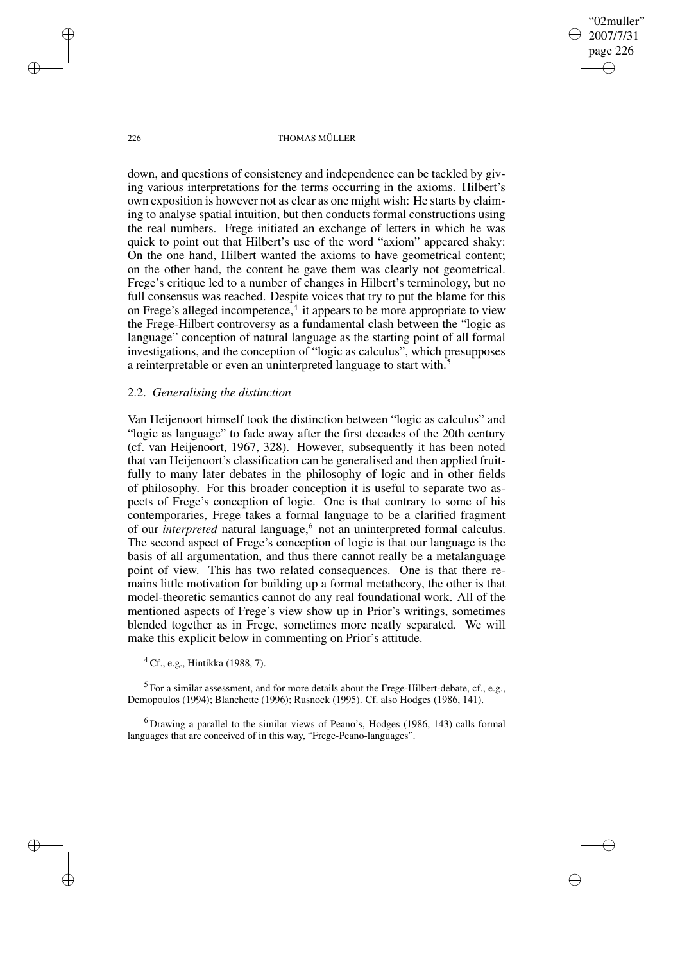"02muller" 2007/7/31 page 226 ✐ ✐

✐

✐

#### 226 THOMAS MÜLLER

down, and questions of consistency and independence can be tackled by giving various interpretations for the terms occurring in the axioms. Hilbert's own exposition is however not as clear as one might wish: He starts by claiming to analyse spatial intuition, but then conducts formal constructions using the real numbers. Frege initiated an exchange of letters in which he was quick to point out that Hilbert's use of the word "axiom" appeared shaky: On the one hand, Hilbert wanted the axioms to have geometrical content; on the other hand, the content he gave them was clearly not geometrical. Frege's critique led to a number of changes in Hilbert's terminology, but no full consensus was reached. Despite voices that try to put the blame for this on Frege's alleged incompetence,<sup>4</sup> it appears to be more appropriate to view the Frege-Hilbert controversy as a fundamental clash between the "logic as language" conception of natural language as the starting point of all formal investigations, and the conception of "logic as calculus", which presupposes a reinterpretable or even an uninterpreted language to start with.<sup>5</sup>

## 2.2. *Generalising the distinction*

Van Heijenoort himself took the distinction between "logic as calculus" and "logic as language" to fade away after the first decades of the 20th century (cf. van Heijenoort, 1967, 328). However, subsequently it has been noted that van Heijenoort's classification can be generalised and then applied fruitfully to many later debates in the philosophy of logic and in other fields of philosophy. For this broader conception it is useful to separate two aspects of Frege's conception of logic. One is that contrary to some of his contemporaries, Frege takes a formal language to be a clarified fragment of our *interpreted* natural language,<sup>6</sup> not an uninterpreted formal calculus. The second aspect of Frege's conception of logic is that our language is the basis of all argumentation, and thus there cannot really be a metalanguage point of view. This has two related consequences. One is that there remains little motivation for building up a formal metatheory, the other is that model-theoretic semantics cannot do any real foundational work. All of the mentioned aspects of Frege's view show up in Prior's writings, sometimes blended together as in Frege, sometimes more neatly separated. We will make this explicit below in commenting on Prior's attitude.

 ${}^{4}$  Cf., e.g., Hintikka (1988, 7).

 $<sup>5</sup>$  For a similar assessment, and for more details about the Frege-Hilbert-debate, cf., e.g.,</sup> Demopoulos (1994); Blanchette (1996); Rusnock (1995). Cf. also Hodges (1986, 141).

 $6$  Drawing a parallel to the similar views of Peano's, Hodges (1986, 143) calls formal languages that are conceived of in this way, "Frege-Peano-languages".

✐

✐

✐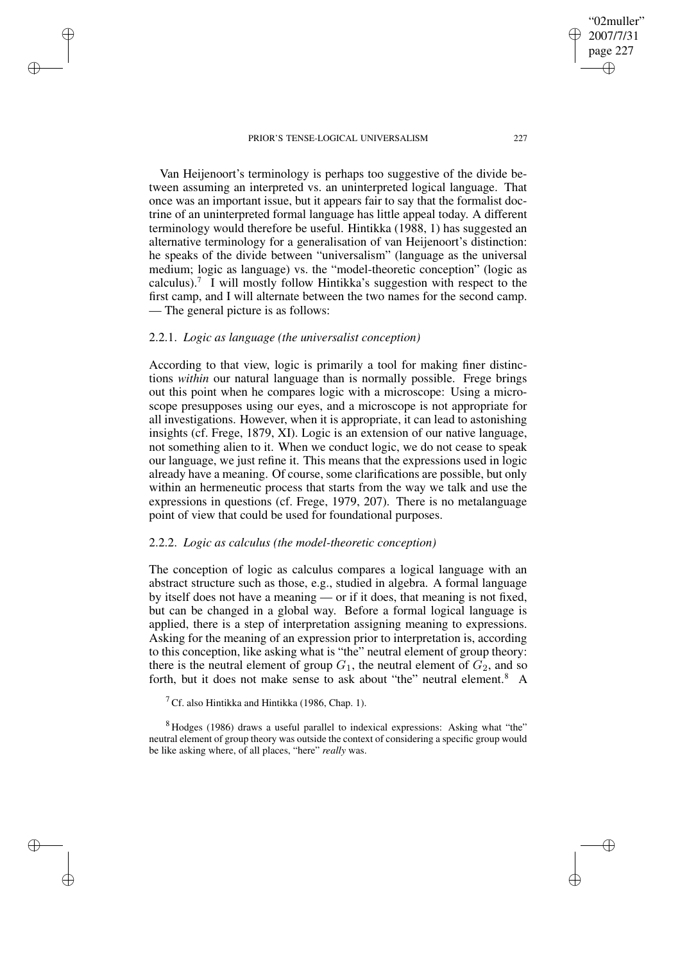Van Heijenoort's terminology is perhaps too suggestive of the divide between assuming an interpreted vs. an uninterpreted logical language. That once was an important issue, but it appears fair to say that the formalist doctrine of an uninterpreted formal language has little appeal today. A different terminology would therefore be useful. Hintikka (1988, 1) has suggested an alternative terminology for a generalisation of van Heijenoort's distinction: he speaks of the divide between "universalism" (language as the universal medium; logic as language) vs. the "model-theoretic conception" (logic as calculus).<sup>7</sup> I will mostly follow Hintikka's suggestion with respect to the first camp, and I will alternate between the two names for the second camp. — The general picture is as follows:

# 2.2.1. *Logic as language (the universalist conception)*

✐

✐

✐

✐

According to that view, logic is primarily a tool for making finer distinctions *within* our natural language than is normally possible. Frege brings out this point when he compares logic with a microscope: Using a microscope presupposes using our eyes, and a microscope is not appropriate for all investigations. However, when it is appropriate, it can lead to astonishing insights (cf. Frege, 1879, XI). Logic is an extension of our native language, not something alien to it. When we conduct logic, we do not cease to speak our language, we just refine it. This means that the expressions used in logic already have a meaning. Of course, some clarifications are possible, but only within an hermeneutic process that starts from the way we talk and use the expressions in questions (cf. Frege, 1979, 207). There is no metalanguage point of view that could be used for foundational purposes.

# 2.2.2. *Logic as calculus (the model-theoretic conception)*

The conception of logic as calculus compares a logical language with an abstract structure such as those, e.g., studied in algebra. A formal language by itself does not have a meaning — or if it does, that meaning is not fixed, but can be changed in a global way. Before a formal logical language is applied, there is a step of interpretation assigning meaning to expressions. Asking for the meaning of an expression prior to interpretation is, according to this conception, like asking what is "the" neutral element of group theory: there is the neutral element of group  $G_1$ , the neutral element of  $G_2$ , and so forth, but it does not make sense to ask about "the" neutral element.<sup>8</sup> A

 $7$  Cf. also Hintikka and Hintikka (1986, Chap. 1).

<sup>8</sup> Hodges (1986) draws a useful parallel to indexical expressions: Asking what "the" neutral element of group theory was outside the context of considering a specific group would be like asking where, of all places, "here" *really* was.

"02muller" 2007/7/31 page 227

✐

✐

✐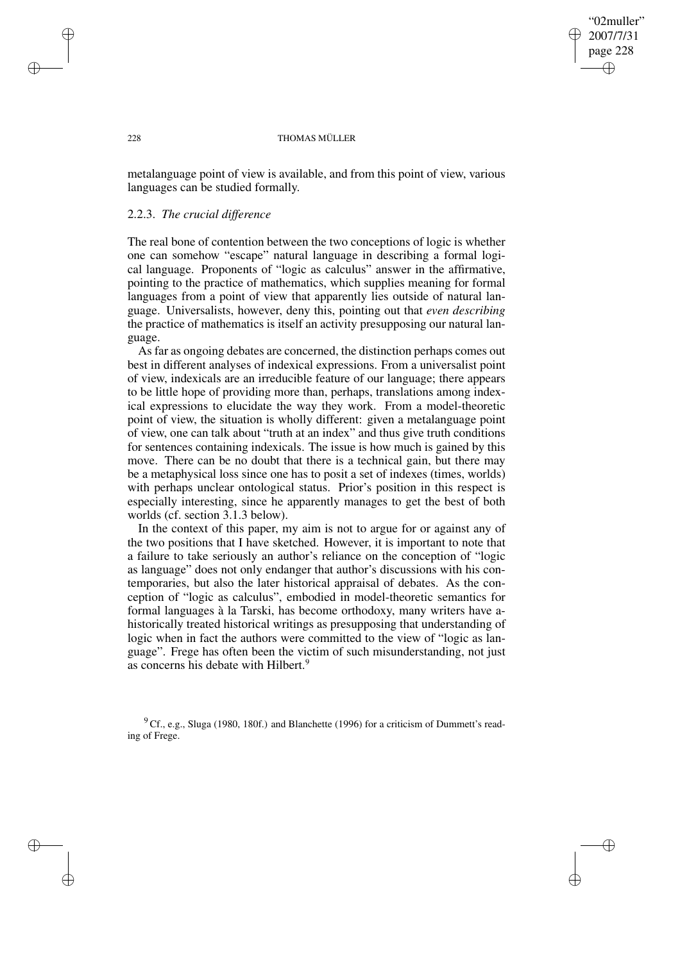## "02muller" 2007/7/31 page 228 ✐ ✐

✐

✐

#### 228 THOMAS MÜLLER

metalanguage point of view is available, and from this point of view, various languages can be studied formally.

# 2.2.3. *The crucial difference*

The real bone of contention between the two conceptions of logic is whether one can somehow "escape" natural language in describing a formal logical language. Proponents of "logic as calculus" answer in the affirmative, pointing to the practice of mathematics, which supplies meaning for formal languages from a point of view that apparently lies outside of natural language. Universalists, however, deny this, pointing out that *even describing* the practice of mathematics is itself an activity presupposing our natural language.

As far as ongoing debates are concerned, the distinction perhaps comes out best in different analyses of indexical expressions. From a universalist point of view, indexicals are an irreducible feature of our language; there appears to be little hope of providing more than, perhaps, translations among indexical expressions to elucidate the way they work. From a model-theoretic point of view, the situation is wholly different: given a metalanguage point of view, one can talk about "truth at an index" and thus give truth conditions for sentences containing indexicals. The issue is how much is gained by this move. There can be no doubt that there is a technical gain, but there may be a metaphysical loss since one has to posit a set of indexes (times, worlds) with perhaps unclear ontological status. Prior's position in this respect is especially interesting, since he apparently manages to get the best of both worlds (cf. section 3.1.3 below).

In the context of this paper, my aim is not to argue for or against any of the two positions that I have sketched. However, it is important to note that a failure to take seriously an author's reliance on the conception of "logic as language" does not only endanger that author's discussions with his contemporaries, but also the later historical appraisal of debates. As the conception of "logic as calculus", embodied in model-theoretic semantics for formal languages à la Tarski, has become orthodoxy, many writers have ahistorically treated historical writings as presupposing that understanding of logic when in fact the authors were committed to the view of "logic as language". Frege has often been the victim of such misunderstanding, not just as concerns his debate with Hilbert.<sup>9</sup>

 $9^9$  Cf., e.g., Sluga (1980, 180f.) and Blanchette (1996) for a criticism of Dummett's reading of Frege.

✐

✐

✐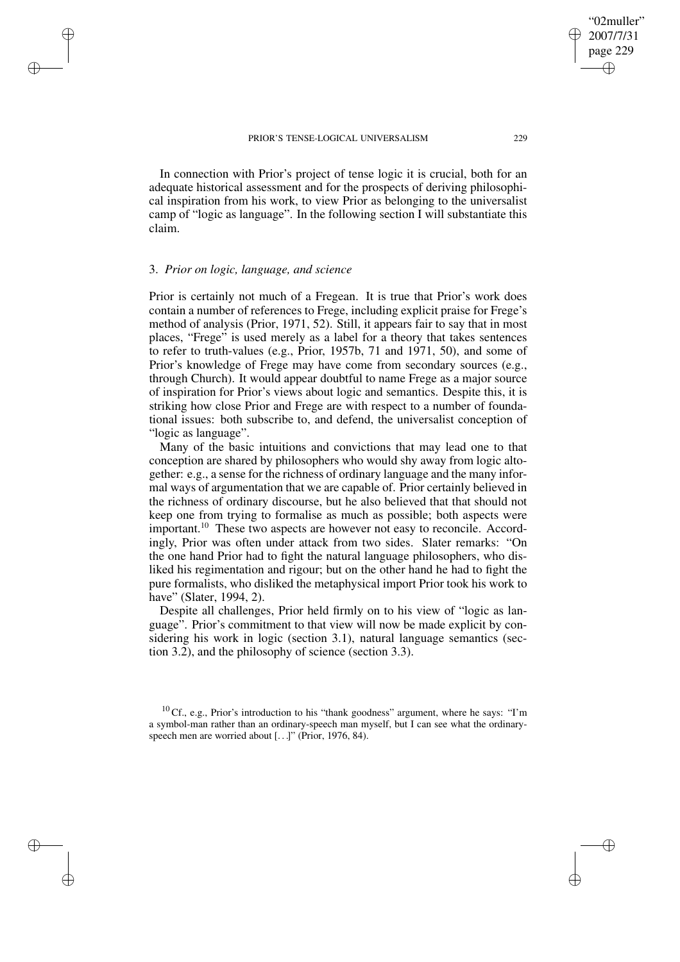In connection with Prior's project of tense logic it is crucial, both for an adequate historical assessment and for the prospects of deriving philosophical inspiration from his work, to view Prior as belonging to the universalist camp of "logic as language". In the following section I will substantiate this claim.

## 3. *Prior on logic, language, and science*

✐

✐

✐

✐

Prior is certainly not much of a Fregean. It is true that Prior's work does contain a number of references to Frege, including explicit praise for Frege's method of analysis (Prior, 1971, 52). Still, it appears fair to say that in most places, "Frege" is used merely as a label for a theory that takes sentences to refer to truth-values (e.g., Prior, 1957b, 71 and 1971, 50), and some of Prior's knowledge of Frege may have come from secondary sources (e.g., through Church). It would appear doubtful to name Frege as a major source of inspiration for Prior's views about logic and semantics. Despite this, it is striking how close Prior and Frege are with respect to a number of foundational issues: both subscribe to, and defend, the universalist conception of "logic as language".

Many of the basic intuitions and convictions that may lead one to that conception are shared by philosophers who would shy away from logic altogether: e.g., a sense for the richness of ordinary language and the many informal ways of argumentation that we are capable of. Prior certainly believed in the richness of ordinary discourse, but he also believed that that should not keep one from trying to formalise as much as possible; both aspects were important.<sup>10</sup> These two aspects are however not easy to reconcile. Accordingly, Prior was often under attack from two sides. Slater remarks: "On the one hand Prior had to fight the natural language philosophers, who disliked his regimentation and rigour; but on the other hand he had to fight the pure formalists, who disliked the metaphysical import Prior took his work to have" (Slater, 1994, 2).

Despite all challenges, Prior held firmly on to his view of "logic as language". Prior's commitment to that view will now be made explicit by considering his work in logic (section 3.1), natural language semantics (section 3.2), and the philosophy of science (section 3.3).

✐

 $10^{\circ}$  Cf., e.g., Prior's introduction to his "thank goodness" argument, where he says: "I'm a symbol-man rather than an ordinary-speech man myself, but I can see what the ordinaryspeech men are worried about [...]" (Prior, 1976, 84).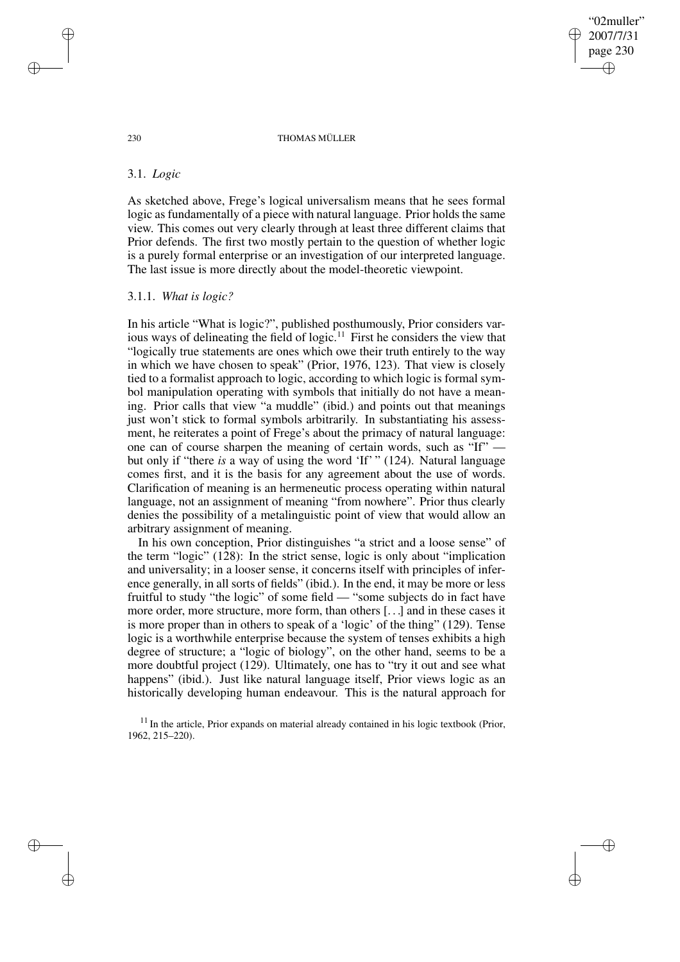"02muller" 2007/7/31 page 230 ✐ ✐

✐

✐

#### 230 THOMAS MÜLLER

# 3.1. *Logic*

As sketched above, Frege's logical universalism means that he sees formal logic as fundamentally of a piece with natural language. Prior holds the same view. This comes out very clearly through at least three different claims that Prior defends. The first two mostly pertain to the question of whether logic is a purely formal enterprise or an investigation of our interpreted language. The last issue is more directly about the model-theoretic viewpoint.

## 3.1.1. *What is logic?*

In his article "What is logic?", published posthumously, Prior considers various ways of delineating the field of logic.<sup>11</sup> First he considers the view that "logically true statements are ones which owe their truth entirely to the way in which we have chosen to speak" (Prior, 1976, 123). That view is closely tied to a formalist approach to logic, according to which logic is formal symbol manipulation operating with symbols that initially do not have a meaning. Prior calls that view "a muddle" (ibid.) and points out that meanings just won't stick to formal symbols arbitrarily. In substantiating his assessment, he reiterates a point of Frege's about the primacy of natural language: one can of course sharpen the meaning of certain words, such as "If" but only if "there *is* a way of using the word 'If' " (124). Natural language comes first, and it is the basis for any agreement about the use of words. Clarification of meaning is an hermeneutic process operating within natural language, not an assignment of meaning "from nowhere". Prior thus clearly denies the possibility of a metalinguistic point of view that would allow an arbitrary assignment of meaning.

In his own conception, Prior distinguishes "a strict and a loose sense" of the term "logic" (128): In the strict sense, logic is only about "implication and universality; in a looser sense, it concerns itself with principles of inference generally, in all sorts of fields" (ibid.). In the end, it may be more or less fruitful to study "the logic" of some field — "some subjects do in fact have more order, more structure, more form, than others [. . .] and in these cases it is more proper than in others to speak of a 'logic' of the thing" (129). Tense logic is a worthwhile enterprise because the system of tenses exhibits a high degree of structure; a "logic of biology", on the other hand, seems to be a more doubtful project (129). Ultimately, one has to "try it out and see what happens" (ibid.). Just like natural language itself, Prior views logic as an historically developing human endeavour. This is the natural approach for

 $11$  In the article, Prior expands on material already contained in his logic textbook (Prior, 1962, 215–220).

✐

✐

✐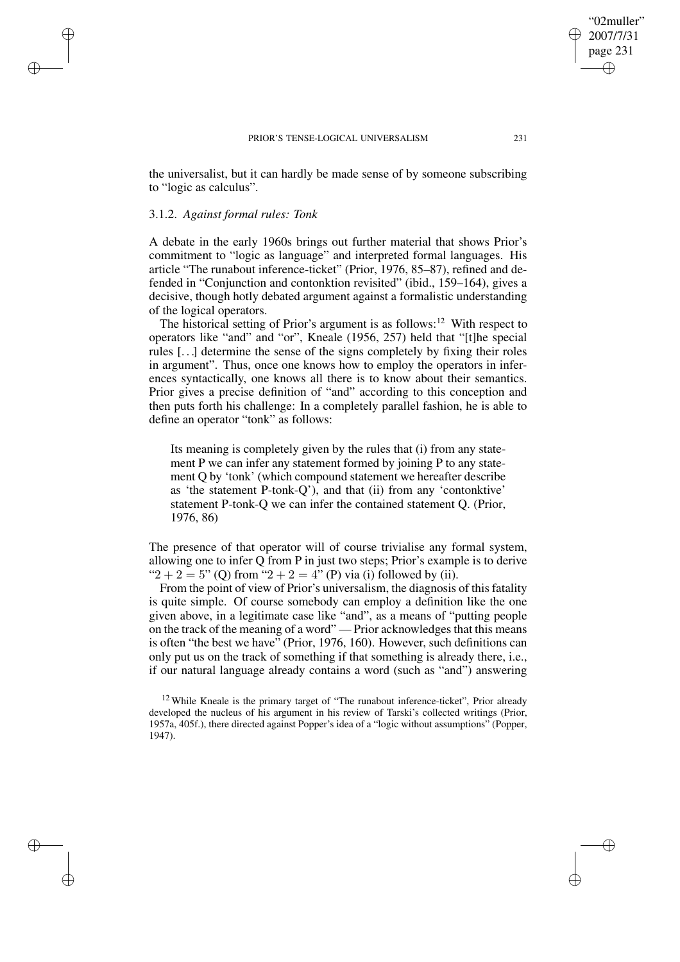the universalist, but it can hardly be made sense of by someone subscribing to "logic as calculus".

## 3.1.2. *Against formal rules: Tonk*

✐

✐

✐

✐

A debate in the early 1960s brings out further material that shows Prior's commitment to "logic as language" and interpreted formal languages. His article "The runabout inference-ticket" (Prior, 1976, 85–87), refined and defended in "Conjunction and contonktion revisited" (ibid., 159–164), gives a decisive, though hotly debated argument against a formalistic understanding of the logical operators.

The historical setting of Prior's argument is as follows:<sup>12</sup> With respect to operators like "and" and "or", Kneale (1956, 257) held that "[t]he special rules [. . .] determine the sense of the signs completely by fixing their roles in argument". Thus, once one knows how to employ the operators in inferences syntactically, one knows all there is to know about their semantics. Prior gives a precise definition of "and" according to this conception and then puts forth his challenge: In a completely parallel fashion, he is able to define an operator "tonk" as follows:

Its meaning is completely given by the rules that (i) from any statement P we can infer any statement formed by joining P to any statement Q by 'tonk' (which compound statement we hereafter describe as 'the statement P-tonk-Q'), and that (ii) from any 'contonktive' statement P-tonk-Q we can infer the contained statement Q. (Prior, 1976, 86)

The presence of that operator will of course trivialise any formal system, allowing one to infer Q from P in just two steps; Prior's example is to derive " $2 + 2 = 5$ " (Q) from " $2 + 2 = 4$ " (P) via (i) followed by (ii).

From the point of view of Prior's universalism, the diagnosis of this fatality is quite simple. Of course somebody can employ a definition like the one given above, in a legitimate case like "and", as a means of "putting people on the track of the meaning of a word" — Prior acknowledges that this means is often "the best we have" (Prior, 1976, 160). However, such definitions can only put us on the track of something if that something is already there, i.e., if our natural language already contains a word (such as "and") answering

"02muller" 2007/7/31 page 231

✐

✐

✐

 $12$  While Kneale is the primary target of "The runabout inference-ticket", Prior already developed the nucleus of his argument in his review of Tarski's collected writings (Prior, 1957a, 405f.), there directed against Popper's idea of a "logic without assumptions" (Popper, 1947).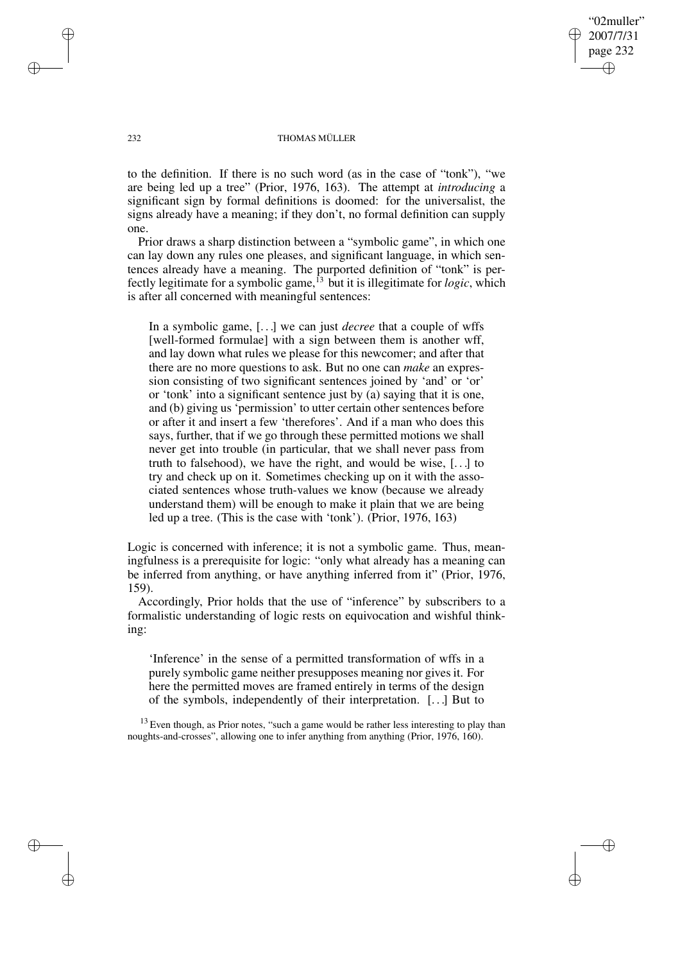## "02muller" 2007/7/31 page 232 ✐ ✐

✐

✐

#### 232 THOMAS MÜLLER

to the definition. If there is no such word (as in the case of "tonk"), "we are being led up a tree" (Prior, 1976, 163). The attempt at *introducing* a significant sign by formal definitions is doomed: for the universalist, the signs already have a meaning; if they don't, no formal definition can supply one.

Prior draws a sharp distinction between a "symbolic game", in which one can lay down any rules one pleases, and significant language, in which sentences already have a meaning. The purported definition of "tonk" is perfectly legitimate for a symbolic game,<sup> $13$ </sup> but it is illegitimate for *logic*, which is after all concerned with meaningful sentences:

In a symbolic game, [. . .] we can just *decree* that a couple of wffs [well-formed formulae] with a sign between them is another wff, and lay down what rules we please for this newcomer; and after that there are no more questions to ask. But no one can *make* an expression consisting of two significant sentences joined by 'and' or 'or' or 'tonk' into a significant sentence just by (a) saying that it is one, and (b) giving us 'permission' to utter certain other sentences before or after it and insert a few 'therefores'. And if a man who does this says, further, that if we go through these permitted motions we shall never get into trouble (in particular, that we shall never pass from truth to falsehood), we have the right, and would be wise, [. . .] to try and check up on it. Sometimes checking up on it with the associated sentences whose truth-values we know (because we already understand them) will be enough to make it plain that we are being led up a tree. (This is the case with 'tonk'). (Prior, 1976, 163)

Logic is concerned with inference; it is not a symbolic game. Thus, meaningfulness is a prerequisite for logic: "only what already has a meaning can be inferred from anything, or have anything inferred from it" (Prior, 1976, 159).

Accordingly, Prior holds that the use of "inference" by subscribers to a formalistic understanding of logic rests on equivocation and wishful thinking:

'Inference' in the sense of a permitted transformation of wffs in a purely symbolic game neither presupposes meaning nor gives it. For here the permitted moves are framed entirely in terms of the design of the symbols, independently of their interpretation. [. . .] But to

 $13$  Even though, as Prior notes, "such a game would be rather less interesting to play than noughts-and-crosses", allowing one to infer anything from anything (Prior, 1976, 160).

✐

✐

✐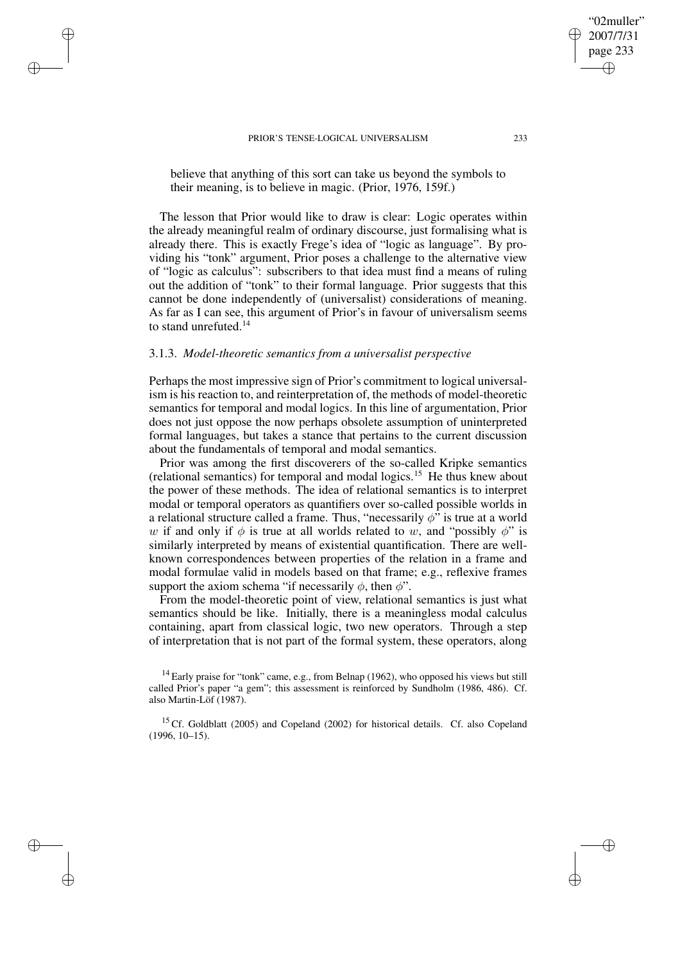✐

✐

✐

✐

believe that anything of this sort can take us beyond the symbols to their meaning, is to believe in magic. (Prior, 1976, 159f.)

The lesson that Prior would like to draw is clear: Logic operates within the already meaningful realm of ordinary discourse, just formalising what is already there. This is exactly Frege's idea of "logic as language". By providing his "tonk" argument, Prior poses a challenge to the alternative view of "logic as calculus": subscribers to that idea must find a means of ruling out the addition of "tonk" to their formal language. Prior suggests that this cannot be done independently of (universalist) considerations of meaning. As far as I can see, this argument of Prior's in favour of universalism seems to stand unrefuted.<sup>14</sup>

## 3.1.3. *Model-theoretic semantics from a universalist perspective*

Perhaps the most impressive sign of Prior's commitment to logical universalism is his reaction to, and reinterpretation of, the methods of model-theoretic semantics for temporal and modal logics. In this line of argumentation, Prior does not just oppose the now perhaps obsolete assumption of uninterpreted formal languages, but takes a stance that pertains to the current discussion about the fundamentals of temporal and modal semantics.

Prior was among the first discoverers of the so-called Kripke semantics (relational semantics) for temporal and modal logics.<sup>15</sup> He thus knew about the power of these methods. The idea of relational semantics is to interpret modal or temporal operators as quantifiers over so-called possible worlds in a relational structure called a frame. Thus, "necessarily  $\phi$ " is true at a world w if and only if  $\phi$  is true at all worlds related to w, and "possibly  $\phi$ " is similarly interpreted by means of existential quantification. There are wellknown correspondences between properties of the relation in a frame and modal formulae valid in models based on that frame; e.g., reflexive frames support the axiom schema "if necessarily  $\phi$ , then  $\phi$ ".

From the model-theoretic point of view, relational semantics is just what semantics should be like. Initially, there is a meaningless modal calculus containing, apart from classical logic, two new operators. Through a step of interpretation that is not part of the formal system, these operators, along

"02muller" 2007/7/31 page 233

✐

✐

✐

 $14$  Early praise for "tonk" came, e.g., from Belnap (1962), who opposed his views but still called Prior's paper "a gem"; this assessment is reinforced by Sundholm (1986, 486). Cf. also Martin-Löf (1987).

<sup>&</sup>lt;sup>15</sup> Cf. Goldblatt (2005) and Copeland (2002) for historical details. Cf. also Copeland  $(1996, 10-15)$ .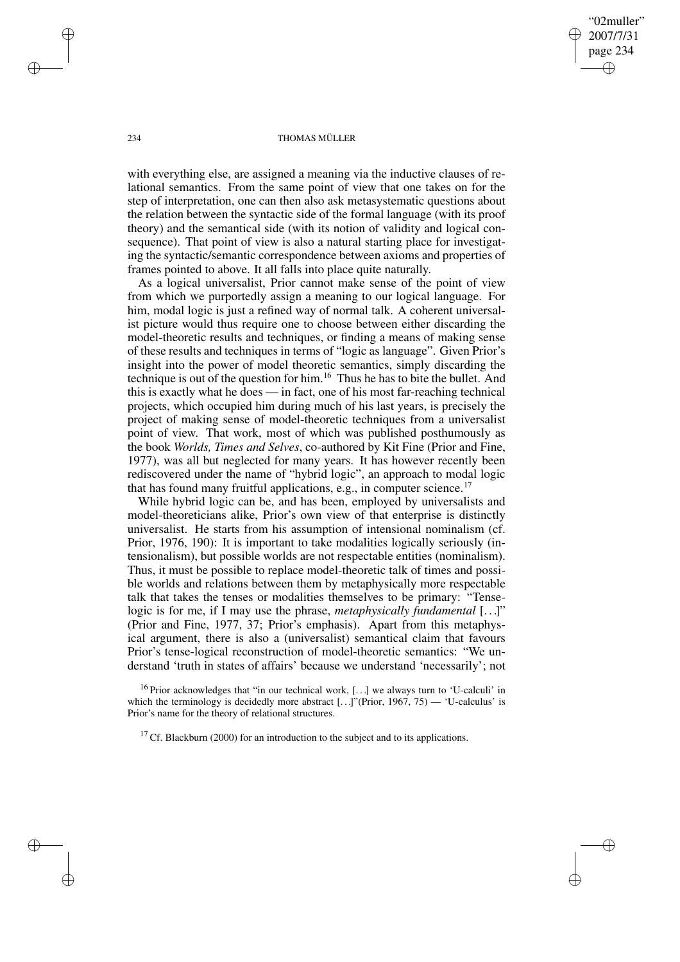"02muller" 2007/7/31 page 234 ✐ ✐

✐

✐

#### 234 THOMAS MÜLLER

with everything else, are assigned a meaning via the inductive clauses of relational semantics. From the same point of view that one takes on for the step of interpretation, one can then also ask metasystematic questions about the relation between the syntactic side of the formal language (with its proof theory) and the semantical side (with its notion of validity and logical consequence). That point of view is also a natural starting place for investigating the syntactic/semantic correspondence between axioms and properties of frames pointed to above. It all falls into place quite naturally.

As a logical universalist, Prior cannot make sense of the point of view from which we purportedly assign a meaning to our logical language. For him, modal logic is just a refined way of normal talk. A coherent universalist picture would thus require one to choose between either discarding the model-theoretic results and techniques, or finding a means of making sense of these results and techniques in terms of "logic as language". Given Prior's insight into the power of model theoretic semantics, simply discarding the technique is out of the question for him.<sup>16</sup> Thus he has to bite the bullet. And this is exactly what he does — in fact, one of his most far-reaching technical projects, which occupied him during much of his last years, is precisely the project of making sense of model-theoretic techniques from a universalist point of view. That work, most of which was published posthumously as the book *Worlds, Times and Selves*, co-authored by Kit Fine (Prior and Fine, 1977), was all but neglected for many years. It has however recently been rediscovered under the name of "hybrid logic", an approach to modal logic that has found many fruitful applications, e.g., in computer science.<sup>17</sup>

While hybrid logic can be, and has been, employed by universalists and model-theoreticians alike, Prior's own view of that enterprise is distinctly universalist. He starts from his assumption of intensional nominalism (cf. Prior, 1976, 190): It is important to take modalities logically seriously (intensionalism), but possible worlds are not respectable entities (nominalism). Thus, it must be possible to replace model-theoretic talk of times and possible worlds and relations between them by metaphysically more respectable talk that takes the tenses or modalities themselves to be primary: "Tenselogic is for me, if I may use the phrase, *metaphysically fundamental* [...]" (Prior and Fine, 1977, 37; Prior's emphasis). Apart from this metaphysical argument, there is also a (universalist) semantical claim that favours Prior's tense-logical reconstruction of model-theoretic semantics: "We understand 'truth in states of affairs' because we understand 'necessarily'; not

<sup>16</sup> Prior acknowledges that "in our technical work, [...] we always turn to 'U-calculi' in which the terminology is decidedly more abstract  $[...]'$  (Prior, 1967, 75) — 'U-calculus' is Prior's name for the theory of relational structures.

 $17$  Cf. Blackburn (2000) for an introduction to the subject and to its applications.

✐

✐

✐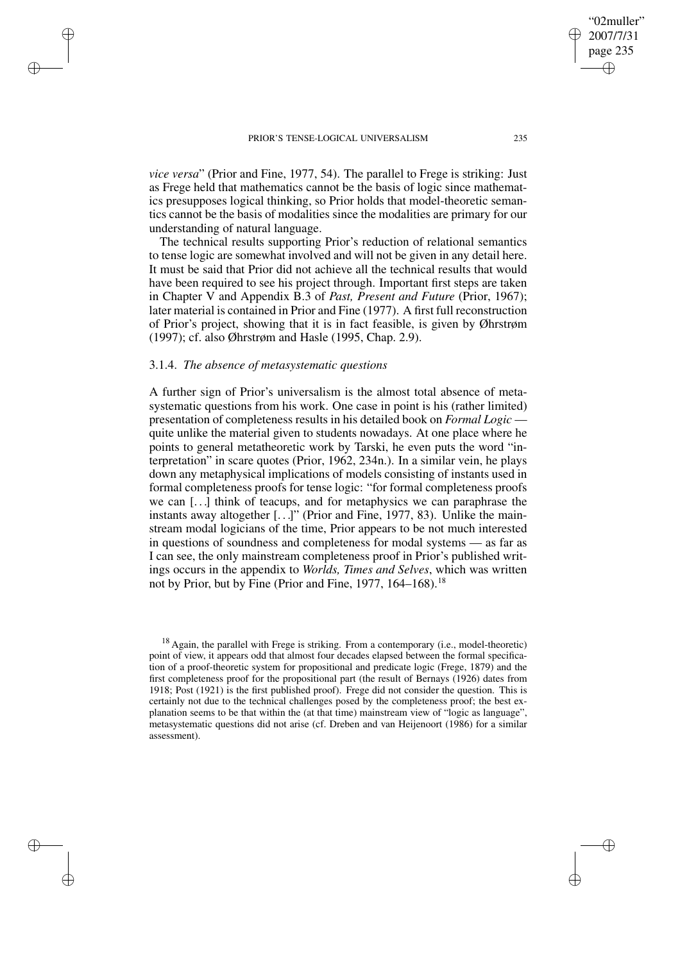*vice versa*" (Prior and Fine, 1977, 54). The parallel to Frege is striking: Just as Frege held that mathematics cannot be the basis of logic since mathematics presupposes logical thinking, so Prior holds that model-theoretic semantics cannot be the basis of modalities since the modalities are primary for our understanding of natural language.

The technical results supporting Prior's reduction of relational semantics to tense logic are somewhat involved and will not be given in any detail here. It must be said that Prior did not achieve all the technical results that would have been required to see his project through. Important first steps are taken in Chapter V and Appendix B.3 of *Past, Present and Future* (Prior, 1967); later material is contained in Prior and Fine (1977). A first full reconstruction of Prior's project, showing that it is in fact feasible, is given by Øhrstrøm (1997); cf. also Øhrstrøm and Hasle (1995, Chap. 2.9).

## 3.1.4. *The absence of metasystematic questions*

✐

✐

✐

✐

A further sign of Prior's universalism is the almost total absence of metasystematic questions from his work. One case in point is his (rather limited) presentation of completeness results in his detailed book on *Formal Logic* quite unlike the material given to students nowadays. At one place where he points to general metatheoretic work by Tarski, he even puts the word "interpretation" in scare quotes (Prior, 1962, 234n.). In a similar vein, he plays down any metaphysical implications of models consisting of instants used in formal completeness proofs for tense logic: "for formal completeness proofs we can [. . .] think of teacups, and for metaphysics we can paraphrase the instants away altogether [. . .]" (Prior and Fine, 1977, 83). Unlike the mainstream modal logicians of the time, Prior appears to be not much interested in questions of soundness and completeness for modal systems — as far as I can see, the only mainstream completeness proof in Prior's published writings occurs in the appendix to *Worlds, Times and Selves*, which was written not by Prior, but by Fine (Prior and Fine, 1977, 164–168).<sup>18</sup>

"02muller" 2007/7/31 page 235

✐

✐

✐

<sup>&</sup>lt;sup>18</sup> Again, the parallel with Frege is striking. From a contemporary (i.e., model-theoretic) point of view, it appears odd that almost four decades elapsed between the formal specification of a proof-theoretic system for propositional and predicate logic (Frege, 1879) and the first completeness proof for the propositional part (the result of Bernays (1926) dates from 1918; Post (1921) is the first published proof). Frege did not consider the question. This is certainly not due to the technical challenges posed by the completeness proof; the best explanation seems to be that within the (at that time) mainstream view of "logic as language", metasystematic questions did not arise (cf. Dreben and van Heijenoort (1986) for a similar assessment).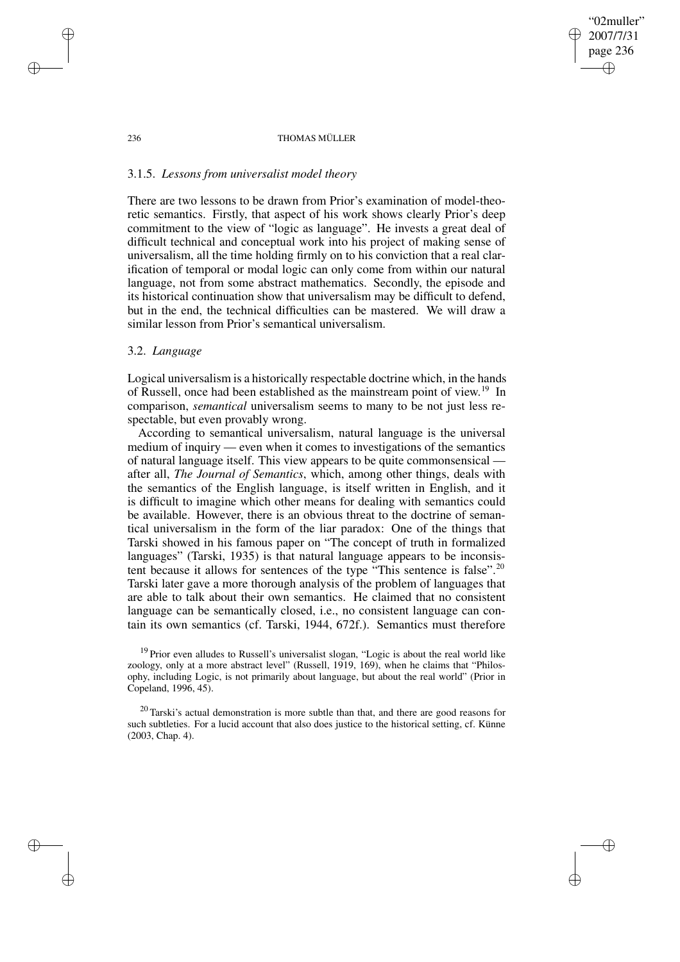"02muller" 2007/7/31 page 236 ✐ ✐

✐

✐

#### 236 THOMAS MÜLLER

## 3.1.5. *Lessons from universalist model theory*

There are two lessons to be drawn from Prior's examination of model-theoretic semantics. Firstly, that aspect of his work shows clearly Prior's deep commitment to the view of "logic as language". He invests a great deal of difficult technical and conceptual work into his project of making sense of universalism, all the time holding firmly on to his conviction that a real clarification of temporal or modal logic can only come from within our natural language, not from some abstract mathematics. Secondly, the episode and its historical continuation show that universalism may be difficult to defend, but in the end, the technical difficulties can be mastered. We will draw a similar lesson from Prior's semantical universalism.

## 3.2. *Language*

✐

✐

✐

✐

Logical universalism is a historically respectable doctrine which, in the hands of Russell, once had been established as the mainstream point of view.<sup>19</sup> In comparison, *semantical* universalism seems to many to be not just less respectable, but even provably wrong.

According to semantical universalism, natural language is the universal medium of inquiry — even when it comes to investigations of the semantics of natural language itself. This view appears to be quite commonsensical after all, *The Journal of Semantics*, which, among other things, deals with the semantics of the English language, is itself written in English, and it is difficult to imagine which other means for dealing with semantics could be available. However, there is an obvious threat to the doctrine of semantical universalism in the form of the liar paradox: One of the things that Tarski showed in his famous paper on "The concept of truth in formalized languages" (Tarski, 1935) is that natural language appears to be inconsistent because it allows for sentences of the type "This sentence is false".<sup>20</sup> Tarski later gave a more thorough analysis of the problem of languages that are able to talk about their own semantics. He claimed that no consistent language can be semantically closed, i.e., no consistent language can contain its own semantics (cf. Tarski, 1944, 672f.). Semantics must therefore

 $19$  Prior even alludes to Russell's universalist slogan, "Logic is about the real world like zoology, only at a more abstract level" (Russell, 1919, 169), when he claims that "Philosophy, including Logic, is not primarily about language, but about the real world" (Prior in Copeland, 1996, 45).

 $20$  Tarski's actual demonstration is more subtle than that, and there are good reasons for such subtleties. For a lucid account that also does justice to the historical setting, cf. Künne (2003, Chap. 4).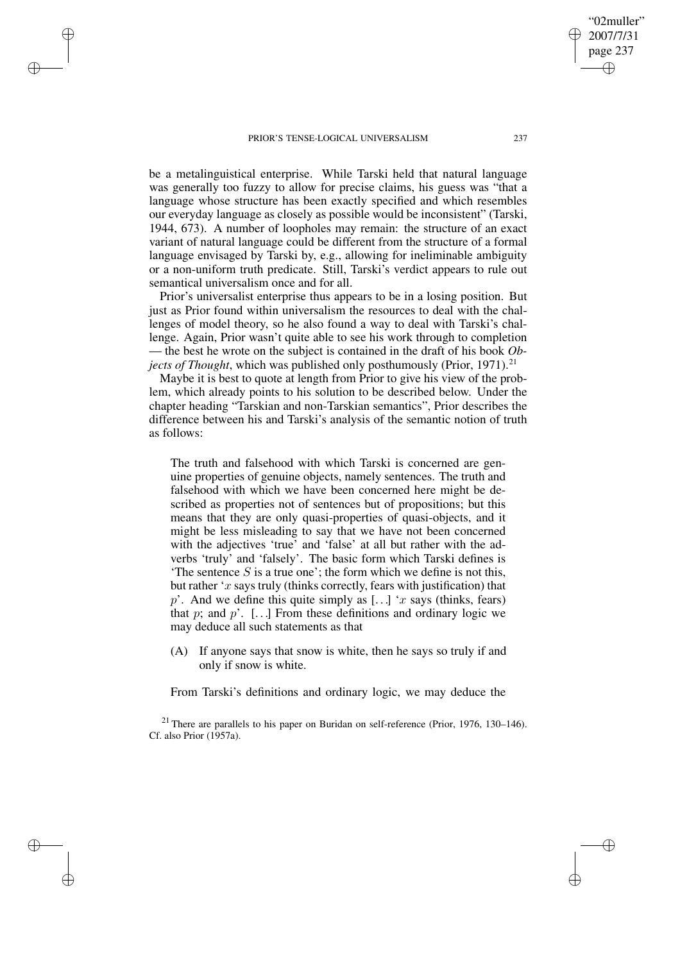✐

✐

✐

✐

be a metalinguistical enterprise. While Tarski held that natural language was generally too fuzzy to allow for precise claims, his guess was "that a language whose structure has been exactly specified and which resembles our everyday language as closely as possible would be inconsistent" (Tarski, 1944, 673). A number of loopholes may remain: the structure of an exact variant of natural language could be different from the structure of a formal language envisaged by Tarski by, e.g., allowing for ineliminable ambiguity or a non-uniform truth predicate. Still, Tarski's verdict appears to rule out semantical universalism once and for all.

Prior's universalist enterprise thus appears to be in a losing position. But just as Prior found within universalism the resources to deal with the challenges of model theory, so he also found a way to deal with Tarski's challenge. Again, Prior wasn't quite able to see his work through to completion — the best he wrote on the subject is contained in the draft of his book *Objects of Thought*, which was published only posthumously (Prior, 1971).<sup>21</sup>

Maybe it is best to quote at length from Prior to give his view of the problem, which already points to his solution to be described below. Under the chapter heading "Tarskian and non-Tarskian semantics", Prior describes the difference between his and Tarski's analysis of the semantic notion of truth as follows:

The truth and falsehood with which Tarski is concerned are genuine properties of genuine objects, namely sentences. The truth and falsehood with which we have been concerned here might be described as properties not of sentences but of propositions; but this means that they are only quasi-properties of quasi-objects, and it might be less misleading to say that we have not been concerned with the adjectives 'true' and 'false' at all but rather with the adverbs 'truly' and 'falsely'. The basic form which Tarski defines is 'The sentence  $S$  is a true one'; the form which we define is not this, but rather 'x says truly (thinks correctly, fears with justification) that  $p'$ . And we define this quite simply as [...] 'x says (thinks, fears) that p; and p'.  $[...]$  From these definitions and ordinary logic we may deduce all such statements as that

(A) If anyone says that snow is white, then he says so truly if and only if snow is white.

From Tarski's definitions and ordinary logic, we may deduce the

"02muller" 2007/7/31 page 237

✐

✐

✐

 $21$  There are parallels to his paper on Buridan on self-reference (Prior, 1976, 130–146). Cf. also Prior (1957a).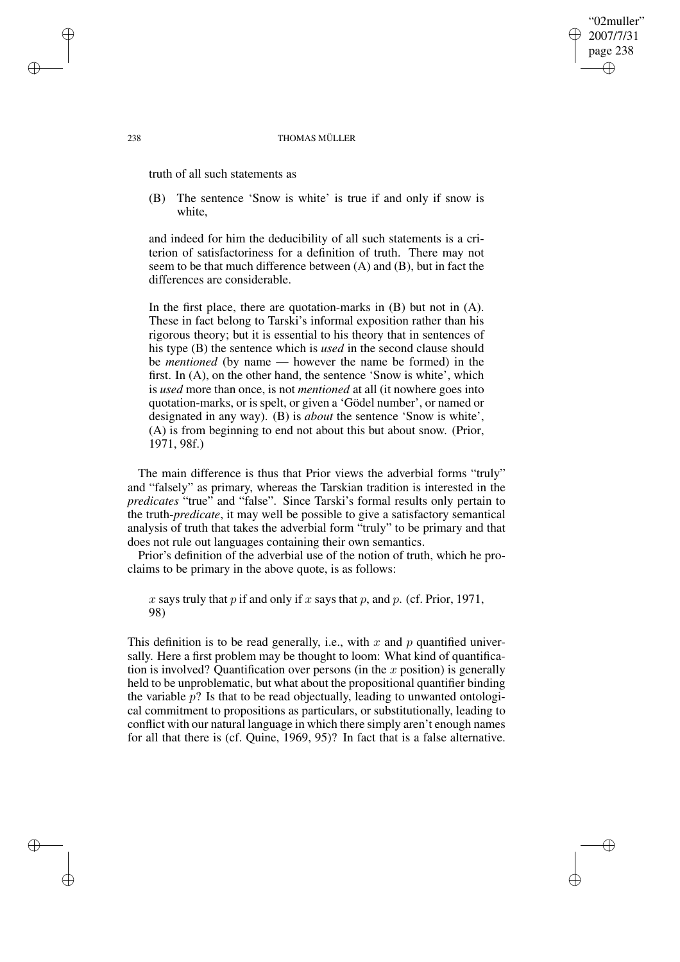#### 238 THOMAS MÜLLER

"02muller" 2007/7/31 page 238

✐

✐

✐

✐

truth of all such statements as

(B) The sentence 'Snow is white' is true if and only if snow is white,

and indeed for him the deducibility of all such statements is a criterion of satisfactoriness for a definition of truth. There may not seem to be that much difference between (A) and (B), but in fact the differences are considerable.

In the first place, there are quotation-marks in  $(B)$  but not in  $(A)$ . These in fact belong to Tarski's informal exposition rather than his rigorous theory; but it is essential to his theory that in sentences of his type (B) the sentence which is *used* in the second clause should be *mentioned* (by name — however the name be formed) in the first. In (A), on the other hand, the sentence 'Snow is white', which is *used* more than once, is not *mentioned* at all (it nowhere goes into quotation-marks, or is spelt, or given a 'Gödel number', or named or designated in any way). (B) is *about* the sentence 'Snow is white', (A) is from beginning to end not about this but about snow. (Prior, 1971, 98f.)

The main difference is thus that Prior views the adverbial forms "truly" and "falsely" as primary, whereas the Tarskian tradition is interested in the *predicates* "true" and "false". Since Tarski's formal results only pertain to the truth-*predicate*, it may well be possible to give a satisfactory semantical analysis of truth that takes the adverbial form "truly" to be primary and that does not rule out languages containing their own semantics.

Prior's definition of the adverbial use of the notion of truth, which he proclaims to be primary in the above quote, is as follows:

x says truly that p if and only if x says that p, and p. (cf. Prior, 1971, 98)

This definition is to be read generally, i.e., with  $x$  and  $p$  quantified universally. Here a first problem may be thought to loom: What kind of quantification is involved? Quantification over persons (in the x position) is generally held to be unproblematic, but what about the propositional quantifier binding the variable  $p$ ? Is that to be read objectually, leading to unwanted ontological commitment to propositions as particulars, or substitutionally, leading to conflict with our natural language in which there simply aren't enough names for all that there is (cf. Quine, 1969, 95)? In fact that is a false alternative.

✐

✐

✐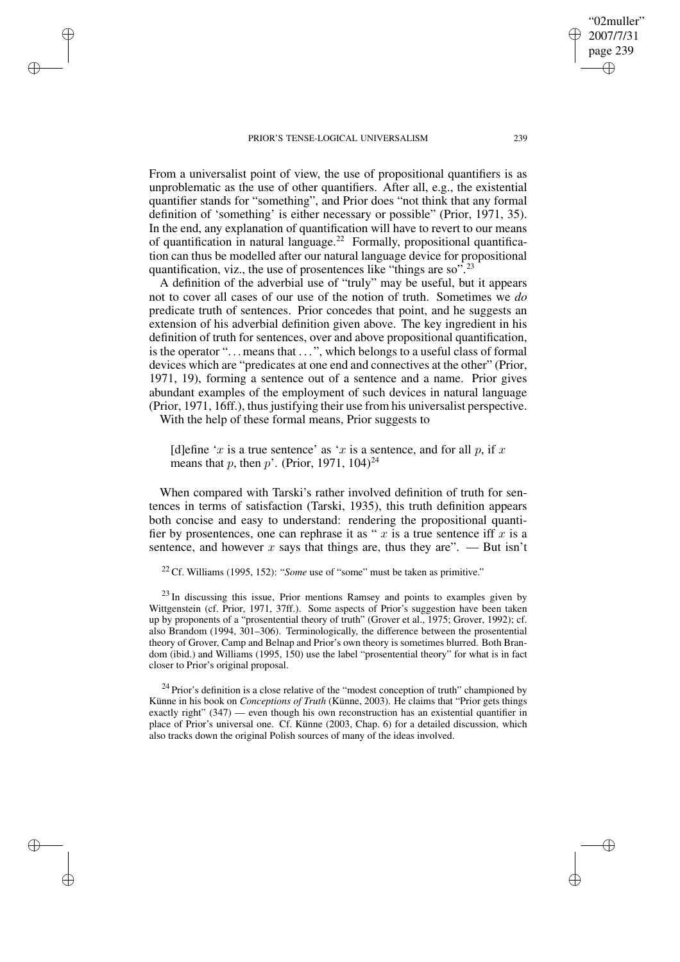✐

✐

✐

✐

From a universalist point of view, the use of propositional quantifiers is as unproblematic as the use of other quantifiers. After all, e.g., the existential quantifier stands for "something", and Prior does "not think that any formal definition of 'something' is either necessary or possible" (Prior, 1971, 35). In the end, any explanation of quantification will have to revert to our means of quantification in natural language.<sup>22</sup> Formally, propositional quantification can thus be modelled after our natural language device for propositional quantification, viz., the use of prosentences like "things are so".<sup>23</sup>

A definition of the adverbial use of "truly" may be useful, but it appears not to cover all cases of our use of the notion of truth. Sometimes we *do* predicate truth of sentences. Prior concedes that point, and he suggests an extension of his adverbial definition given above. The key ingredient in his definition of truth for sentences, over and above propositional quantification, is the operator "... means that ...", which belongs to a useful class of formal devices which are "predicates at one end and connectives at the other" (Prior, 1971, 19), forming a sentence out of a sentence and a name. Prior gives abundant examples of the employment of such devices in natural language (Prior, 1971, 16ff.), thus justifying their use from his universalist perspective. With the help of these formal means, Prior suggests to

[d]efine 'x is a true sentence' as 'x is a sentence, and for all p, if x means that p, then p'. (Prior, 1971, 104)<sup>24</sup>

When compared with Tarski's rather involved definition of truth for sentences in terms of satisfaction (Tarski, 1935), this truth definition appears both concise and easy to understand: rendering the propositional quantifier by prosentences, one can rephrase it as " $x$  is a true sentence iff  $x$  is a sentence, and however x says that things are, thus they are". — But isn't

<sup>22</sup> Cf. Williams (1995, 152): "*Some* use of "some" must be taken as primitive."

 $23$  In discussing this issue, Prior mentions Ramsey and points to examples given by Wittgenstein (cf. Prior, 1971, 37ff.). Some aspects of Prior's suggestion have been taken up by proponents of a "prosentential theory of truth" (Grover et al., 1975; Grover, 1992); cf. also Brandom (1994, 301–306). Terminologically, the difference between the prosentential theory of Grover, Camp and Belnap and Prior's own theory is sometimes blurred. Both Brandom (ibid.) and Williams (1995, 150) use the label "prosentential theory" for what is in fact closer to Prior's original proposal.

 $24$  Prior's definition is a close relative of the "modest conception of truth" championed by Künne in his book on *Conceptions of Truth* (Künne, 2003). He claims that "Prior gets things exactly right" (347) — even though his own reconstruction has an existential quantifier in place of Prior's universal one. Cf. Künne (2003, Chap. 6) for a detailed discussion, which also tracks down the original Polish sources of many of the ideas involved.

"02muller" 2007/7/31 page 239

✐

✐

✐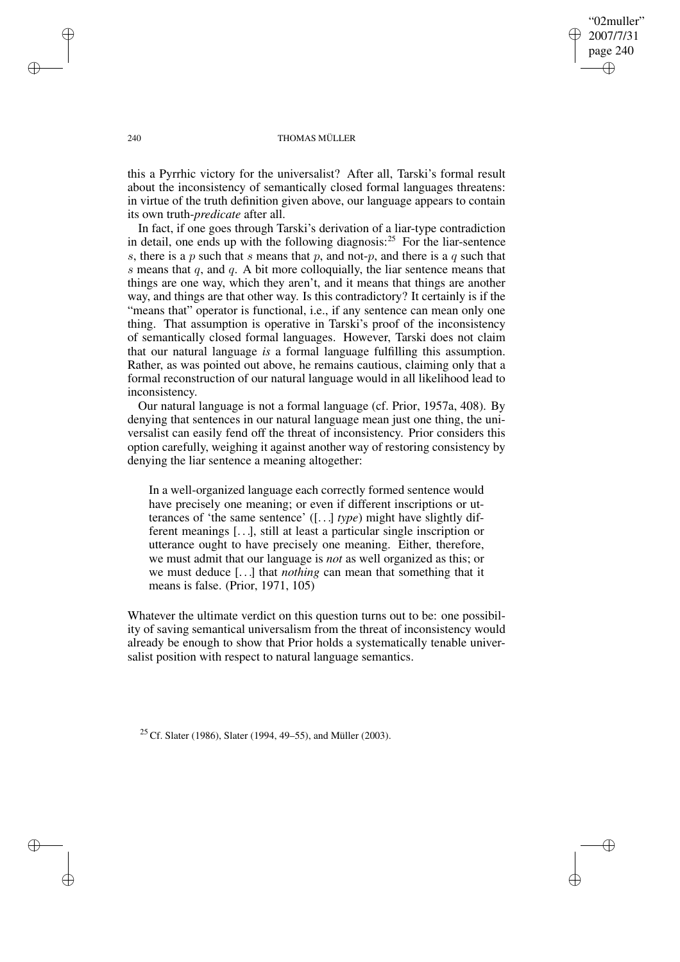"02muller" 2007/7/31 page 240 ✐ ✐

✐

✐

## 240 THOMAS MÜLLER

this a Pyrrhic victory for the universalist? After all, Tarski's formal result about the inconsistency of semantically closed formal languages threatens: in virtue of the truth definition given above, our language appears to contain its own truth-*predicate* after all.

In fact, if one goes through Tarski's derivation of a liar-type contradiction in detail, one ends up with the following diagnosis: $25$  For the liar-sentence s, there is a p such that s means that p, and not-p, and there is a q such that s means that q, and  $q$ . A bit more colloquially, the liar sentence means that things are one way, which they aren't, and it means that things are another way, and things are that other way. Is this contradictory? It certainly is if the "means that" operator is functional, i.e., if any sentence can mean only one thing. That assumption is operative in Tarski's proof of the inconsistency of semantically closed formal languages. However, Tarski does not claim that our natural language *is* a formal language fulfilling this assumption. Rather, as was pointed out above, he remains cautious, claiming only that a formal reconstruction of our natural language would in all likelihood lead to inconsistency.

Our natural language is not a formal language (cf. Prior, 1957a, 408). By denying that sentences in our natural language mean just one thing, the universalist can easily fend off the threat of inconsistency. Prior considers this option carefully, weighing it against another way of restoring consistency by denying the liar sentence a meaning altogether:

In a well-organized language each correctly formed sentence would have precisely one meaning; or even if different inscriptions or utterances of 'the same sentence' ([. . .] *type*) might have slightly different meanings [. . .], still at least a particular single inscription or utterance ought to have precisely one meaning. Either, therefore, we must admit that our language is *not* as well organized as this; or we must deduce [. . .] that *nothing* can mean that something that it means is false. (Prior, 1971, 105)

Whatever the ultimate verdict on this question turns out to be: one possibility of saving semantical universalism from the threat of inconsistency would already be enough to show that Prior holds a systematically tenable universalist position with respect to natural language semantics.

<sup>25</sup> Cf. Slater (1986), Slater (1994, 49–55), and Müller (2003).

✐

✐

✐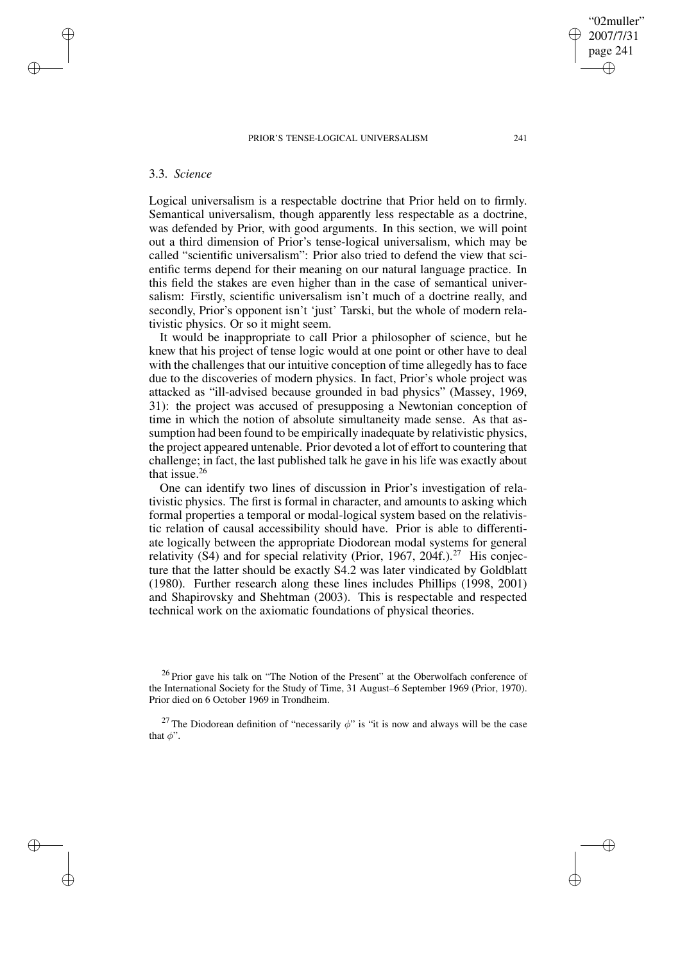## 3.3. *Science*

✐

✐

✐

✐

Logical universalism is a respectable doctrine that Prior held on to firmly. Semantical universalism, though apparently less respectable as a doctrine, was defended by Prior, with good arguments. In this section, we will point out a third dimension of Prior's tense-logical universalism, which may be called "scientific universalism": Prior also tried to defend the view that scientific terms depend for their meaning on our natural language practice. In this field the stakes are even higher than in the case of semantical universalism: Firstly, scientific universalism isn't much of a doctrine really, and secondly, Prior's opponent isn't 'just' Tarski, but the whole of modern relativistic physics. Or so it might seem.

It would be inappropriate to call Prior a philosopher of science, but he knew that his project of tense logic would at one point or other have to deal with the challenges that our intuitive conception of time allegedly has to face due to the discoveries of modern physics. In fact, Prior's whole project was attacked as "ill-advised because grounded in bad physics" (Massey, 1969, 31): the project was accused of presupposing a Newtonian conception of time in which the notion of absolute simultaneity made sense. As that assumption had been found to be empirically inadequate by relativistic physics, the project appeared untenable. Prior devoted a lot of effort to countering that challenge; in fact, the last published talk he gave in his life was exactly about that issue.<sup>26</sup>

One can identify two lines of discussion in Prior's investigation of relativistic physics. The first is formal in character, and amounts to asking which formal properties a temporal or modal-logical system based on the relativistic relation of causal accessibility should have. Prior is able to differentiate logically between the appropriate Diodorean modal systems for general relativity  $(S4)$  and for special relativity (Prior, 1967, 204f.).<sup>27</sup> His conjecture that the latter should be exactly S4.2 was later vindicated by Goldblatt (1980). Further research along these lines includes Phillips (1998, 2001) and Shapirovsky and Shehtman (2003). This is respectable and respected technical work on the axiomatic foundations of physical theories.

"02muller" 2007/7/31 page 241

✐

✐

✐

<sup>&</sup>lt;sup>26</sup> Prior gave his talk on "The Notion of the Present" at the Oberwolfach conference of the International Society for the Study of Time, 31 August–6 September 1969 (Prior, 1970). Prior died on 6 October 1969 in Trondheim.

<sup>&</sup>lt;sup>27</sup> The Diodorean definition of "necessarily  $\phi$ " is "it is now and always will be the case that  $\phi$ ".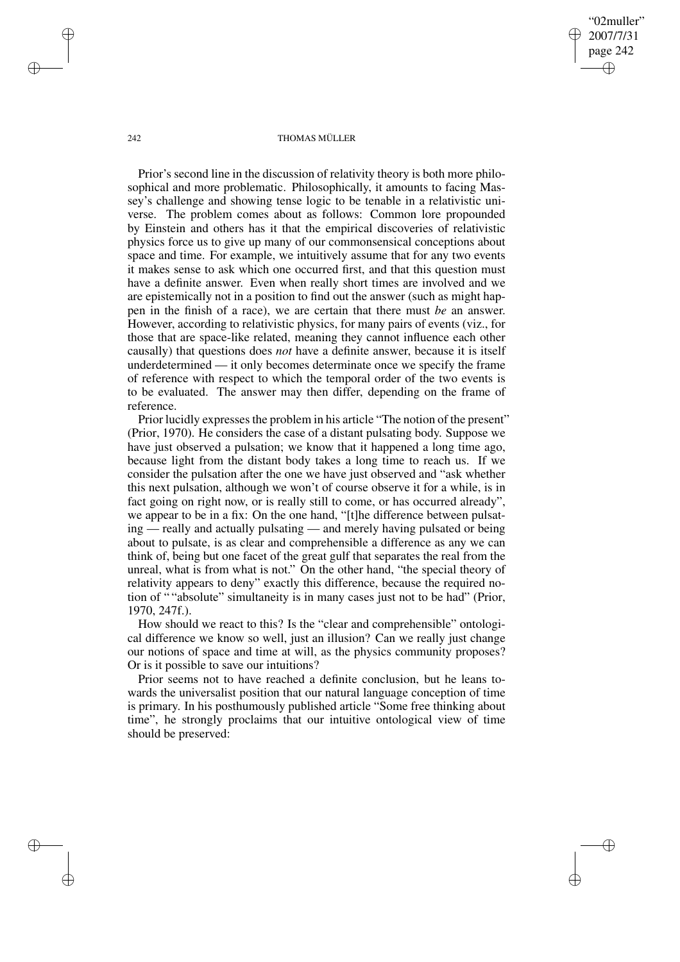"02muller" 2007/7/31 page 242 ✐ ✐

✐

✐

#### 242 THOMAS MÜLLER

Prior's second line in the discussion of relativity theory is both more philosophical and more problematic. Philosophically, it amounts to facing Massey's challenge and showing tense logic to be tenable in a relativistic universe. The problem comes about as follows: Common lore propounded by Einstein and others has it that the empirical discoveries of relativistic physics force us to give up many of our commonsensical conceptions about space and time. For example, we intuitively assume that for any two events it makes sense to ask which one occurred first, and that this question must have a definite answer. Even when really short times are involved and we are epistemically not in a position to find out the answer (such as might happen in the finish of a race), we are certain that there must *be* an answer. However, according to relativistic physics, for many pairs of events (viz., for those that are space-like related, meaning they cannot influence each other causally) that questions does *not* have a definite answer, because it is itself underdetermined — it only becomes determinate once we specify the frame of reference with respect to which the temporal order of the two events is to be evaluated. The answer may then differ, depending on the frame of reference.

Prior lucidly expresses the problem in his article "The notion of the present" (Prior, 1970). He considers the case of a distant pulsating body. Suppose we have just observed a pulsation; we know that it happened a long time ago, because light from the distant body takes a long time to reach us. If we consider the pulsation after the one we have just observed and "ask whether this next pulsation, although we won't of course observe it for a while, is in fact going on right now, or is really still to come, or has occurred already", we appear to be in a fix: On the one hand, "[t]he difference between pulsating — really and actually pulsating — and merely having pulsated or being about to pulsate, is as clear and comprehensible a difference as any we can think of, being but one facet of the great gulf that separates the real from the unreal, what is from what is not." On the other hand, "the special theory of relativity appears to deny" exactly this difference, because the required notion of " "absolute" simultaneity is in many cases just not to be had" (Prior, 1970, 247f.).

How should we react to this? Is the "clear and comprehensible" ontological difference we know so well, just an illusion? Can we really just change our notions of space and time at will, as the physics community proposes? Or is it possible to save our intuitions?

Prior seems not to have reached a definite conclusion, but he leans towards the universalist position that our natural language conception of time is primary. In his posthumously published article "Some free thinking about time", he strongly proclaims that our intuitive ontological view of time should be preserved:

✐

✐

✐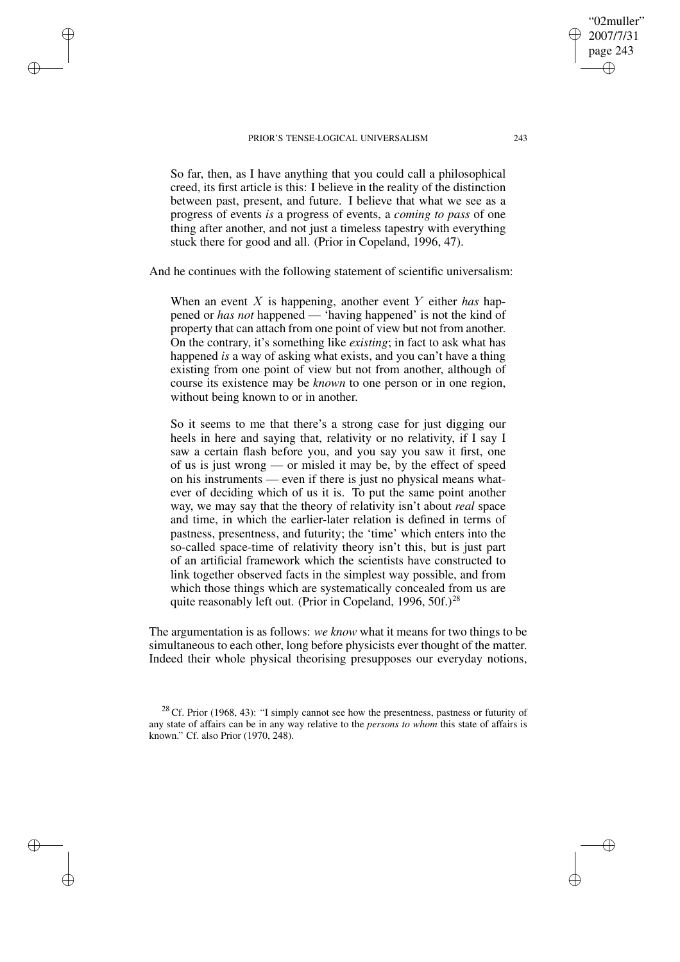✐

✐

✐

✐

So far, then, as I have anything that you could call a philosophical creed, its first article is this: I believe in the reality of the distinction between past, present, and future. I believe that what we see as a progress of events *is* a progress of events, a *coming to pass* of one thing after another, and not just a timeless tapestry with everything stuck there for good and all. (Prior in Copeland, 1996, 47).

And he continues with the following statement of scientific universalism:

When an event X is happening, another event Y either *has* happened or *has not* happened — 'having happened' is not the kind of property that can attach from one point of view but not from another. On the contrary, it's something like *existing*; in fact to ask what has happened *is* a way of asking what exists, and you can't have a thing existing from one point of view but not from another, although of course its existence may be *known* to one person or in one region, without being known to or in another.

So it seems to me that there's a strong case for just digging our heels in here and saying that, relativity or no relativity, if I say I saw a certain flash before you, and you say you saw it first, one of us is just wrong — or misled it may be, by the effect of speed on his instruments — even if there is just no physical means whatever of deciding which of us it is. To put the same point another way, we may say that the theory of relativity isn't about *real* space and time, in which the earlier-later relation is defined in terms of pastness, presentness, and futurity; the 'time' which enters into the so-called space-time of relativity theory isn't this, but is just part of an artificial framework which the scientists have constructed to link together observed facts in the simplest way possible, and from which those things which are systematically concealed from us are quite reasonably left out. (Prior in Copeland, 1996, 50f.)<sup>28</sup>

The argumentation is as follows: *we know* what it means for two things to be simultaneous to each other, long before physicists ever thought of the matter. Indeed their whole physical theorising presupposes our everyday notions,

"02muller" 2007/7/31 page 243

✐

✐

✐

 $28$  Cf. Prior (1968, 43): "I simply cannot see how the presentness, pastness or futurity of any state of affairs can be in any way relative to the *persons to whom* this state of affairs is known." Cf. also Prior (1970, 248).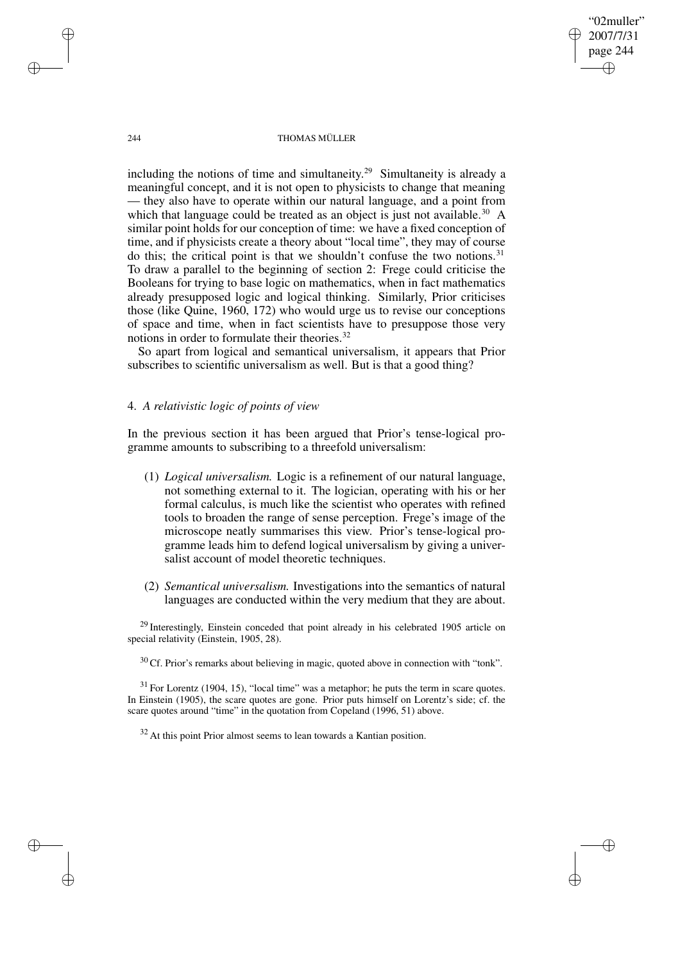"02muller" 2007/7/31 page 244 ✐ ✐

✐

✐

### 244 THOMAS MÜLLER

including the notions of time and simultaneity. <sup>29</sup> Simultaneity is already a meaningful concept, and it is not open to physicists to change that meaning — they also have to operate within our natural language, and a point from which that language could be treated as an object is just not available.<sup>30</sup> A similar point holds for our conception of time: we have a fixed conception of time, and if physicists create a theory about "local time", they may of course do this; the critical point is that we shouldn't confuse the two notions.<sup>31</sup> To draw a parallel to the beginning of section 2: Frege could criticise the Booleans for trying to base logic on mathematics, when in fact mathematics already presupposed logic and logical thinking. Similarly, Prior criticises those (like Quine, 1960, 172) who would urge us to revise our conceptions of space and time, when in fact scientists have to presuppose those very notions in order to formulate their theories.<sup>32</sup>

So apart from logical and semantical universalism, it appears that Prior subscribes to scientific universalism as well. But is that a good thing?

# 4. *A relativistic logic of points of view*

In the previous section it has been argued that Prior's tense-logical programme amounts to subscribing to a threefold universalism:

- (1) *Logical universalism.* Logic is a refinement of our natural language, not something external to it. The logician, operating with his or her formal calculus, is much like the scientist who operates with refined tools to broaden the range of sense perception. Frege's image of the microscope neatly summarises this view. Prior's tense-logical programme leads him to defend logical universalism by giving a universalist account of model theoretic techniques.
- (2) *Semantical universalism.* Investigations into the semantics of natural languages are conducted within the very medium that they are about.

<sup>29</sup> Interestingly, Einstein conceded that point already in his celebrated 1905 article on special relativity (Einstein, 1905, 28).

 $30$  Cf. Prior's remarks about believing in magic, quoted above in connection with "tonk".

 $31$  For Lorentz (1904, 15), "local time" was a metaphor; he puts the term in scare quotes. In Einstein (1905), the scare quotes are gone. Prior puts himself on Lorentz's side; cf. the scare quotes around "time" in the quotation from Copeland (1996, 51) above.

 $32$  At this point Prior almost seems to lean towards a Kantian position.

✐

✐

✐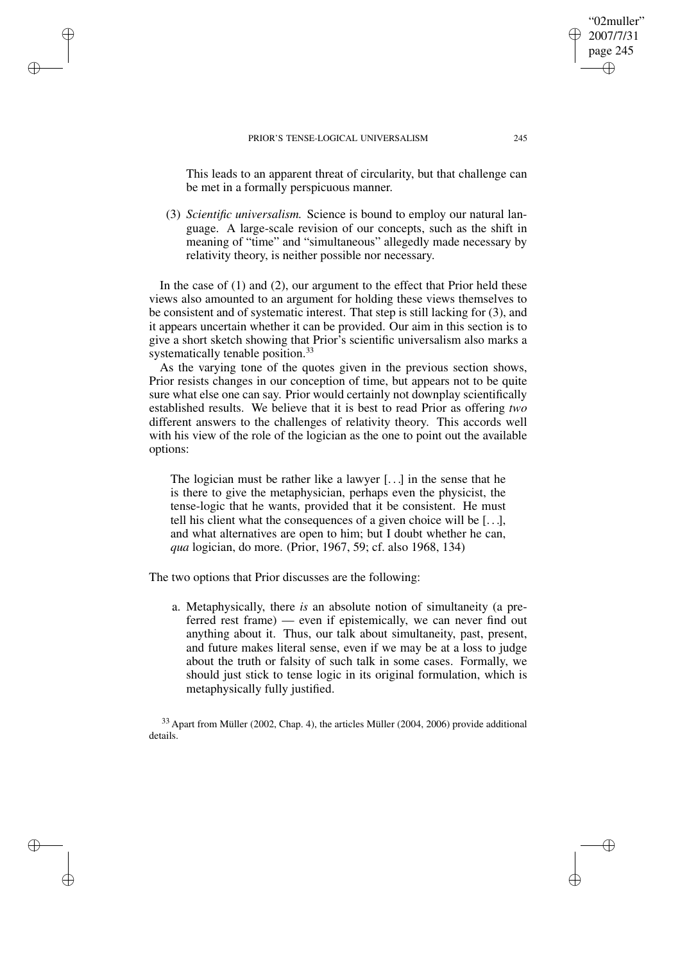✐

✐

✐

✐

This leads to an apparent threat of circularity, but that challenge can be met in a formally perspicuous manner.

(3) *Scientific universalism.* Science is bound to employ our natural language. A large-scale revision of our concepts, such as the shift in meaning of "time" and "simultaneous" allegedly made necessary by relativity theory, is neither possible nor necessary.

In the case of (1) and (2), our argument to the effect that Prior held these views also amounted to an argument for holding these views themselves to be consistent and of systematic interest. That step is still lacking for (3), and it appears uncertain whether it can be provided. Our aim in this section is to give a short sketch showing that Prior's scientific universalism also marks a systematically tenable position.<sup>33</sup>

As the varying tone of the quotes given in the previous section shows, Prior resists changes in our conception of time, but appears not to be quite sure what else one can say. Prior would certainly not downplay scientifically established results. We believe that it is best to read Prior as offering *two* different answers to the challenges of relativity theory. This accords well with his view of the role of the logician as the one to point out the available options:

The logician must be rather like a lawyer [. . .] in the sense that he is there to give the metaphysician, perhaps even the physicist, the tense-logic that he wants, provided that it be consistent. He must tell his client what the consequences of a given choice will be  $[...]$ , and what alternatives are open to him; but I doubt whether he can, *qua* logician, do more. (Prior, 1967, 59; cf. also 1968, 134)

The two options that Prior discusses are the following:

a. Metaphysically, there *is* an absolute notion of simultaneity (a preferred rest frame) — even if epistemically, we can never find out anything about it. Thus, our talk about simultaneity, past, present, and future makes literal sense, even if we may be at a loss to judge about the truth or falsity of such talk in some cases. Formally, we should just stick to tense logic in its original formulation, which is metaphysically fully justified.

<sup>33</sup> Apart from Müller (2002, Chap. 4), the articles Müller (2004, 2006) provide additional details.

"02muller" 2007/7/31 page 245

✐

✐

✐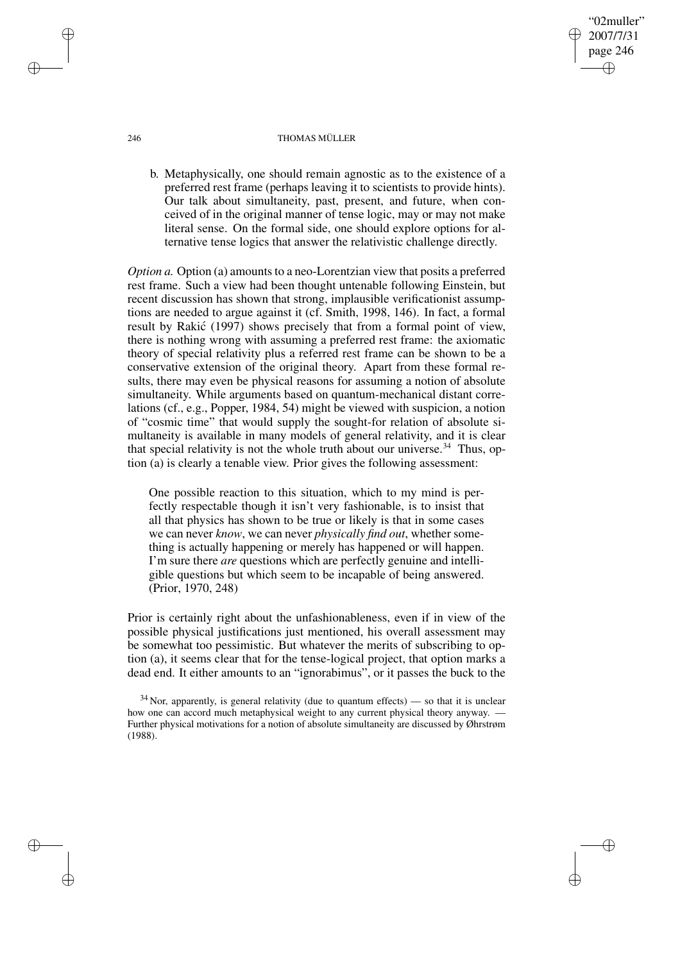# 2007/7/31 page 246 ✐ ✐

✐

✐

"02muller"

#### 246 THOMAS MÜLLER

b. Metaphysically, one should remain agnostic as to the existence of a preferred rest frame (perhaps leaving it to scientists to provide hints). Our talk about simultaneity, past, present, and future, when conceived of in the original manner of tense logic, may or may not make literal sense. On the formal side, one should explore options for alternative tense logics that answer the relativistic challenge directly.

*Option a.* Option (a) amounts to a neo-Lorentzian view that posits a preferred rest frame. Such a view had been thought untenable following Einstein, but recent discussion has shown that strong, implausible verificationist assumptions are needed to argue against it (cf. Smith, 1998, 146). In fact, a formal result by Rakic´ (1997) shows precisely that from a formal point of view, there is nothing wrong with assuming a preferred rest frame: the axiomatic theory of special relativity plus a referred rest frame can be shown to be a conservative extension of the original theory. Apart from these formal results, there may even be physical reasons for assuming a notion of absolute simultaneity. While arguments based on quantum-mechanical distant correlations (cf., e.g., Popper, 1984, 54) might be viewed with suspicion, a notion of "cosmic time" that would supply the sought-for relation of absolute simultaneity is available in many models of general relativity, and it is clear that special relativity is not the whole truth about our universe.<sup>34</sup> Thus, option (a) is clearly a tenable view. Prior gives the following assessment:

One possible reaction to this situation, which to my mind is perfectly respectable though it isn't very fashionable, is to insist that all that physics has shown to be true or likely is that in some cases we can never *know*, we can never *physically find out*, whether something is actually happening or merely has happened or will happen. I'm sure there *are* questions which are perfectly genuine and intelligible questions but which seem to be incapable of being answered. (Prior, 1970, 248)

Prior is certainly right about the unfashionableness, even if in view of the possible physical justifications just mentioned, his overall assessment may be somewhat too pessimistic. But whatever the merits of subscribing to option (a), it seems clear that for the tense-logical project, that option marks a dead end. It either amounts to an "ignorabimus", or it passes the buck to the

✐

✐

✐

 $34$  Nor, apparently, is general relativity (due to quantum effects) — so that it is unclear how one can accord much metaphysical weight to any current physical theory anyway. Further physical motivations for a notion of absolute simultaneity are discussed by Øhrstrøm (1988).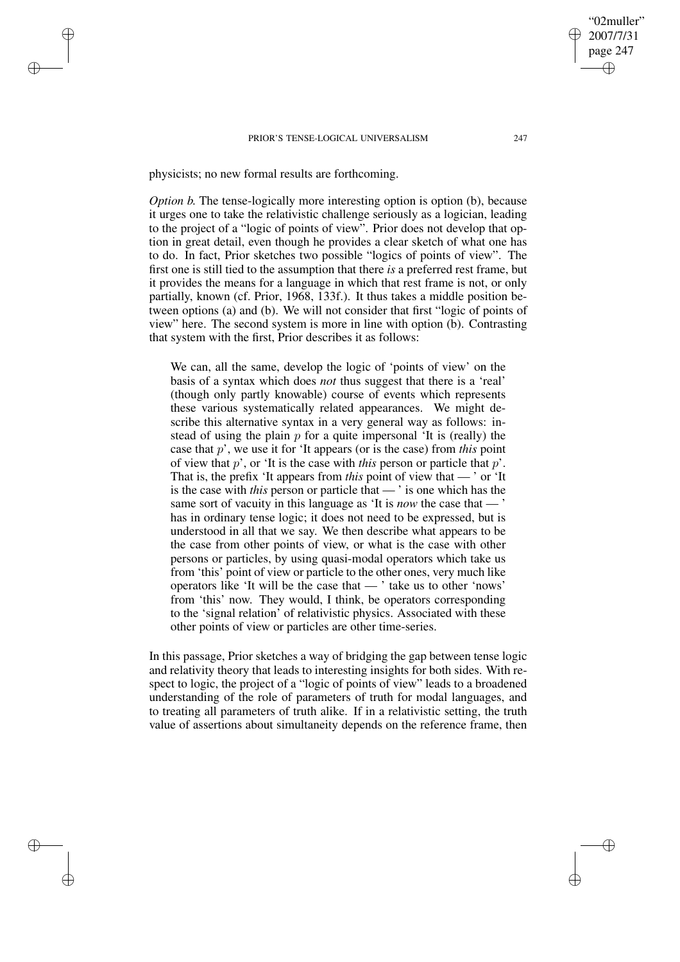physicists; no new formal results are forthcoming.

✐

✐

✐

✐

*Option b.* The tense-logically more interesting option is option (b), because it urges one to take the relativistic challenge seriously as a logician, leading to the project of a "logic of points of view". Prior does not develop that option in great detail, even though he provides a clear sketch of what one has to do. In fact, Prior sketches two possible "logics of points of view". The first one is still tied to the assumption that there *is* a preferred rest frame, but it provides the means for a language in which that rest frame is not, or only partially, known (cf. Prior, 1968, 133f.). It thus takes a middle position between options (a) and (b). We will not consider that first "logic of points of view" here. The second system is more in line with option (b). Contrasting that system with the first, Prior describes it as follows:

We can, all the same, develop the logic of 'points of view' on the basis of a syntax which does *not* thus suggest that there is a 'real' (though only partly knowable) course of events which represents these various systematically related appearances. We might describe this alternative syntax in a very general way as follows: instead of using the plain  $p$  for a quite impersonal 'It is (really) the case that p', we use it for 'It appears (or is the case) from *this* point of view that p', or 'It is the case with *this* person or particle that p'. That is, the prefix 'It appears from *this* point of view that — ' or 'It is the case with *this* person or particle that — ' is one which has the same sort of vacuity in this language as 'It is *now* the case that — ' has in ordinary tense logic; it does not need to be expressed, but is understood in all that we say. We then describe what appears to be the case from other points of view, or what is the case with other persons or particles, by using quasi-modal operators which take us from 'this' point of view or particle to the other ones, very much like operators like 'It will be the case that — ' take us to other 'nows' from 'this' now. They would, I think, be operators corresponding to the 'signal relation' of relativistic physics. Associated with these other points of view or particles are other time-series.

In this passage, Prior sketches a way of bridging the gap between tense logic and relativity theory that leads to interesting insights for both sides. With respect to logic, the project of a "logic of points of view" leads to a broadened understanding of the role of parameters of truth for modal languages, and to treating all parameters of truth alike. If in a relativistic setting, the truth value of assertions about simultaneity depends on the reference frame, then

"02muller" 2007/7/31 page 247

✐

✐

✐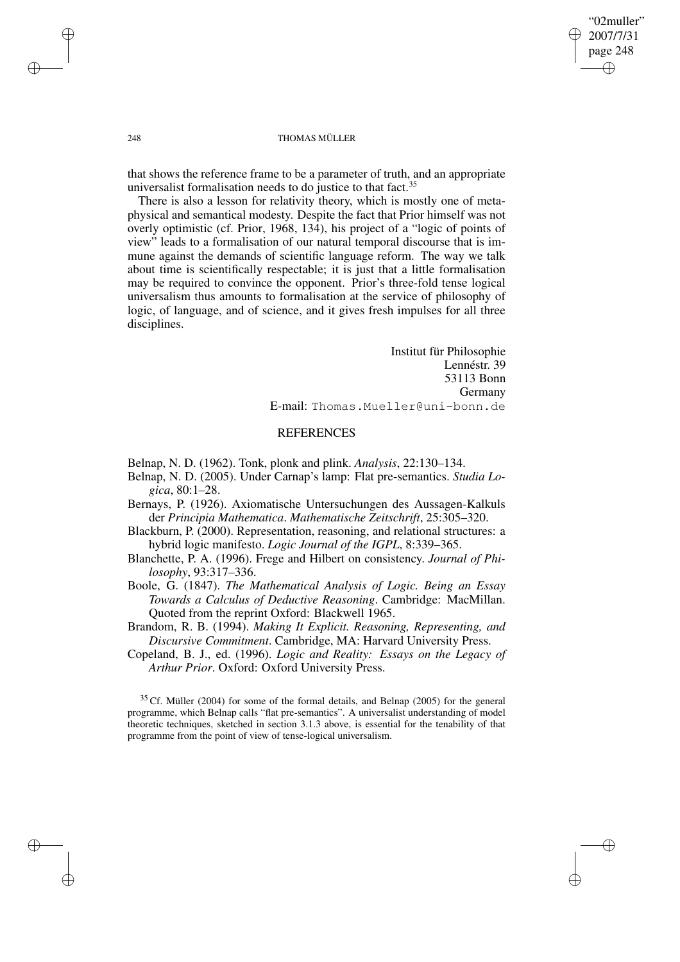## "02muller" 2007/7/31 page 248 ✐ ✐

✐

✐

#### 248 THOMAS MÜLLER

that shows the reference frame to be a parameter of truth, and an appropriate universalist formalisation needs to do justice to that fact.<sup>35</sup>

There is also a lesson for relativity theory, which is mostly one of metaphysical and semantical modesty. Despite the fact that Prior himself was not overly optimistic (cf. Prior, 1968, 134), his project of a "logic of points of view" leads to a formalisation of our natural temporal discourse that is immune against the demands of scientific language reform. The way we talk about time is scientifically respectable; it is just that a little formalisation may be required to convince the opponent. Prior's three-fold tense logical universalism thus amounts to formalisation at the service of philosophy of logic, of language, and of science, and it gives fresh impulses for all three disciplines.

> Institut für Philosophie Lennéstr. 39 53113 Bonn Germany E-mail: Thomas.Mueller@uni-bonn.de

# **REFERENCES**

Belnap, N. D. (1962). Tonk, plonk and plink. *Analysis*, 22:130–134.

- Belnap, N. D. (2005). Under Carnap's lamp: Flat pre-semantics. *Studia Logica*, 80:1–28.
- Bernays, P. (1926). Axiomatische Untersuchungen des Aussagen-Kalkuls der *Principia Mathematica*. *Mathematische Zeitschrift*, 25:305–320.
- Blackburn, P. (2000). Representation, reasoning, and relational structures: a hybrid logic manifesto. *Logic Journal of the IGPL*, 8:339–365.
- Blanchette, P. A. (1996). Frege and Hilbert on consistency. *Journal of Philosophy*, 93:317–336.
- Boole, G. (1847). *The Mathematical Analysis of Logic. Being an Essay Towards a Calculus of Deductive Reasoning*. Cambridge: MacMillan. Quoted from the reprint Oxford: Blackwell 1965.

Brandom, R. B. (1994). *Making It Explicit. Reasoning, Representing, and Discursive Commitment*. Cambridge, MA: Harvard University Press.

Copeland, B. J., ed. (1996). *Logic and Reality: Essays on the Legacy of Arthur Prior*. Oxford: Oxford University Press.

 $35$  Cf. Müller (2004) for some of the formal details, and Belnap (2005) for the general programme, which Belnap calls "flat pre-semantics". A universalist understanding of model theoretic techniques, sketched in section 3.1.3 above, is essential for the tenability of that programme from the point of view of tense-logical universalism.

✐

✐

✐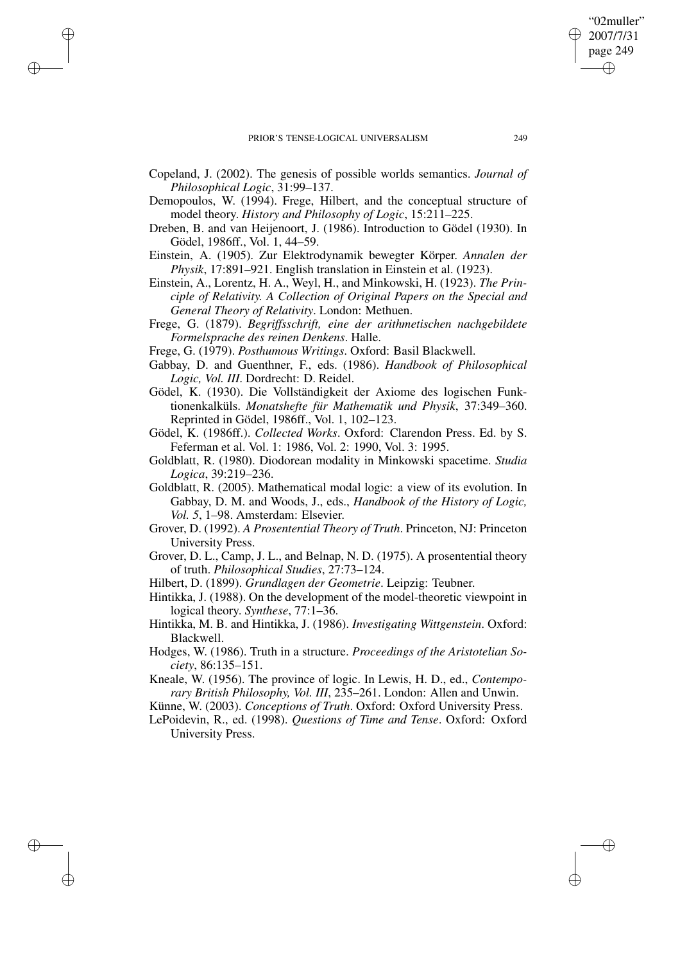✐

✐

✐

✐

- Copeland, J. (2002). The genesis of possible worlds semantics. *Journal of Philosophical Logic*, 31:99–137.
- Demopoulos, W. (1994). Frege, Hilbert, and the conceptual structure of model theory. *History and Philosophy of Logic*, 15:211–225.
- Dreben, B. and van Heijenoort, J. (1986). Introduction to Gödel (1930). In Gödel, 1986ff., Vol. 1, 44–59.
- Einstein, A. (1905). Zur Elektrodynamik bewegter Körper. *Annalen der Physik*, 17:891–921. English translation in Einstein et al. (1923).
- Einstein, A., Lorentz, H. A., Weyl, H., and Minkowski, H. (1923). *The Principle of Relativity. A Collection of Original Papers on the Special and General Theory of Relativity*. London: Methuen.
- Frege, G. (1879). *Begriffsschrift, eine der arithmetischen nachgebildete Formelsprache des reinen Denkens*. Halle.
- Frege, G. (1979). *Posthumous Writings*. Oxford: Basil Blackwell.
- Gabbay, D. and Guenthner, F., eds. (1986). *Handbook of Philosophical Logic, Vol. III*. Dordrecht: D. Reidel.
- Gödel, K. (1930). Die Vollständigkeit der Axiome des logischen Funktionenkalküls. *Monatshefte für Mathematik und Physik*, 37:349–360. Reprinted in Gödel, 1986ff., Vol. 1, 102–123.
- Gödel, K. (1986ff.). *Collected Works*. Oxford: Clarendon Press. Ed. by S. Feferman et al. Vol. 1: 1986, Vol. 2: 1990, Vol. 3: 1995.
- Goldblatt, R. (1980). Diodorean modality in Minkowski spacetime. *Studia Logica*, 39:219–236.
- Goldblatt, R. (2005). Mathematical modal logic: a view of its evolution. In Gabbay, D. M. and Woods, J., eds., *Handbook of the History of Logic, Vol. 5*, 1–98. Amsterdam: Elsevier.
- Grover, D. (1992). *A Prosentential Theory of Truth*. Princeton, NJ: Princeton University Press.
- Grover, D. L., Camp, J. L., and Belnap, N. D. (1975). A prosentential theory of truth. *Philosophical Studies*, 27:73–124.

Hilbert, D. (1899). *Grundlagen der Geometrie*. Leipzig: Teubner.

- Hintikka, J. (1988). On the development of the model-theoretic viewpoint in logical theory. *Synthese*, 77:1–36.
- Hintikka, M. B. and Hintikka, J. (1986). *Investigating Wittgenstein*. Oxford: Blackwell.
- Hodges, W. (1986). Truth in a structure. *Proceedings of the Aristotelian Society*, 86:135–151.

Kneale, W. (1956). The province of logic. In Lewis, H. D., ed., *Contemporary British Philosophy, Vol. III*, 235–261. London: Allen and Unwin.

Künne, W. (2003). *Conceptions of Truth*. Oxford: Oxford University Press.

LePoidevin, R., ed. (1998). *Questions of Time and Tense*. Oxford: Oxford University Press.

"02muller" 2007/7/31 page 249

✐

✐

✐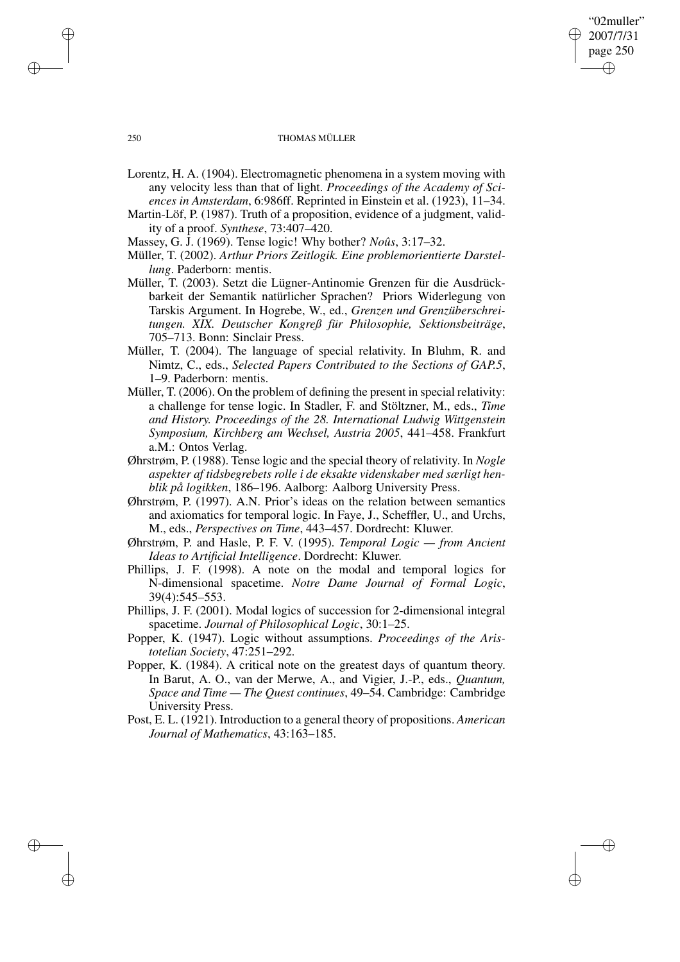## "02muller" 2007/7/31 page 250 ✐ ✐

✐

✐

### 250 THOMAS MÜLLER

- Lorentz, H. A. (1904). Electromagnetic phenomena in a system moving with any velocity less than that of light. *Proceedings of the Academy of Sciences in Amsterdam*, 6:986ff. Reprinted in Einstein et al. (1923), 11–34.
- Martin-Löf, P. (1987). Truth of a proposition, evidence of a judgment, validity of a proof. *Synthese*, 73:407–420.
- Massey, G. J. (1969). Tense logic! Why bother? *Noûs*, 3:17–32.
- Müller, T. (2002). *Arthur Priors Zeitlogik. Eine problemorientierte Darstellung*. Paderborn: mentis.
- Müller, T. (2003). Setzt die Lügner-Antinomie Grenzen für die Ausdrückbarkeit der Semantik natürlicher Sprachen? Priors Widerlegung von Tarskis Argument. In Hogrebe, W., ed., *Grenzen und Grenzüberschreitungen. XIX. Deutscher Kongreß für Philosophie, Sektionsbeiträge*, 705–713. Bonn: Sinclair Press.
- Müller, T. (2004). The language of special relativity. In Bluhm, R. and Nimtz, C., eds., *Selected Papers Contributed to the Sections of GAP.5*, 1–9. Paderborn: mentis.
- Müller, T. (2006). On the problem of defining the present in special relativity: a challenge for tense logic. In Stadler, F. and Stöltzner, M., eds., *Time and History. Proceedings of the 28. International Ludwig Wittgenstein Symposium, Kirchberg am Wechsel, Austria 2005*, 441–458. Frankfurt a.M.: Ontos Verlag.
- Øhrstrøm, P. (1988). Tense logic and the special theory of relativity. In *Nogle aspekter af tidsbegrebets rolle i de eksakte videnskaber med særligt henblik på logikken*, 186–196. Aalborg: Aalborg University Press.
- Øhrstrøm, P. (1997). A.N. Prior's ideas on the relation between semantics and axiomatics for temporal logic. In Faye, J., Scheffler, U., and Urchs, M., eds., *Perspectives on Time*, 443–457. Dordrecht: Kluwer.
- Øhrstrøm, P. and Hasle, P. F. V. (1995). *Temporal Logic — from Ancient Ideas to Artificial Intelligence*. Dordrecht: Kluwer.
- Phillips, J. F. (1998). A note on the modal and temporal logics for N-dimensional spacetime. *Notre Dame Journal of Formal Logic*, 39(4):545–553.
- Phillips, J. F. (2001). Modal logics of succession for 2-dimensional integral spacetime. *Journal of Philosophical Logic*, 30:1–25.
- Popper, K. (1947). Logic without assumptions. *Proceedings of the Aristotelian Society*, 47:251–292.
- Popper, K. (1984). A critical note on the greatest days of quantum theory. In Barut, A. O., van der Merwe, A., and Vigier, J.-P., eds., *Quantum, Space and Time — The Quest continues*, 49–54. Cambridge: Cambridge University Press.
- Post, E. L. (1921). Introduction to a general theory of propositions. *American Journal of Mathematics*, 43:163–185.

✐

✐

✐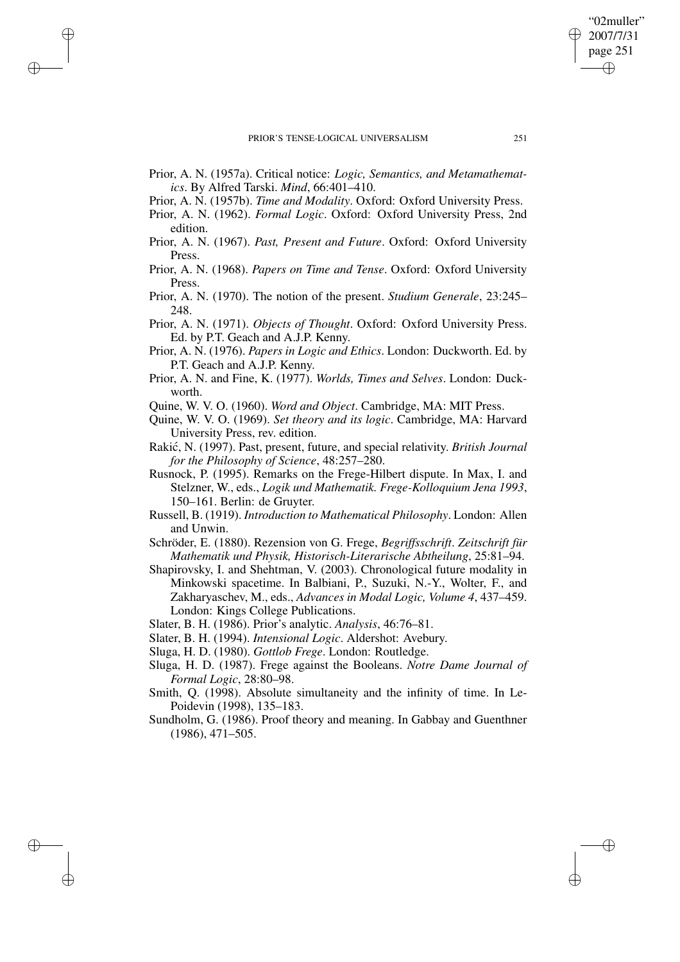✐

✐

✐

✐

- Prior, A. N. (1957a). Critical notice: *Logic, Semantics, and Metamathematics*. By Alfred Tarski. *Mind*, 66:401–410.
- Prior, A. N. (1957b). *Time and Modality*. Oxford: Oxford University Press.
- Prior, A. N. (1962). *Formal Logic*. Oxford: Oxford University Press, 2nd edition.
- Prior, A. N. (1967). *Past, Present and Future*. Oxford: Oxford University Press.
- Prior, A. N. (1968). *Papers on Time and Tense*. Oxford: Oxford University Press.
- Prior, A. N. (1970). The notion of the present. *Studium Generale*, 23:245– 248.
- Prior, A. N. (1971). *Objects of Thought*. Oxford: Oxford University Press. Ed. by P.T. Geach and A.J.P. Kenny.
- Prior, A. N. (1976). *Papers in Logic and Ethics*. London: Duckworth. Ed. by P.T. Geach and A.J.P. Kenny.
- Prior, A. N. and Fine, K. (1977). *Worlds, Times and Selves*. London: Duckworth.
- Quine, W. V. O. (1960). *Word and Object*. Cambridge, MA: MIT Press.
- Quine, W. V. O. (1969). *Set theory and its logic*. Cambridge, MA: Harvard University Press, rev. edition.
- Rakic,´ N. (1997). Past, present, future, and special relativity. *British Journal for the Philosophy of Science*, 48:257–280.
- Rusnock, P. (1995). Remarks on the Frege-Hilbert dispute. In Max, I. and Stelzner, W., eds., *Logik und Mathematik. Frege-Kolloquium Jena 1993*, 150–161. Berlin: de Gruyter.
- Russell, B. (1919). *Introduction to Mathematical Philosophy*. London: Allen and Unwin.
- Schröder, E. (1880). Rezension von G. Frege, *Begriffsschrift*. *Zeitschrift für Mathematik und Physik, Historisch-Literarische Abtheilung*, 25:81–94.
- Shapirovsky, I. and Shehtman, V. (2003). Chronological future modality in Minkowski spacetime. In Balbiani, P., Suzuki, N.-Y., Wolter, F., and Zakharyaschev, M., eds., *Advances in Modal Logic, Volume 4*, 437–459. London: Kings College Publications.
- Slater, B. H. (1986). Prior's analytic. *Analysis*, 46:76–81.
- Slater, B. H. (1994). *Intensional Logic*. Aldershot: Avebury.
- Sluga, H. D. (1980). *Gottlob Frege*. London: Routledge.
- Sluga, H. D. (1987). Frege against the Booleans. *Notre Dame Journal of Formal Logic*, 28:80–98.
- Smith, Q. (1998). Absolute simultaneity and the infinity of time. In Le-Poidevin (1998), 135–183.
- Sundholm, G. (1986). Proof theory and meaning. In Gabbay and Guenthner (1986), 471–505.

"02muller" 2007/7/31 page 251

✐

✐

✐